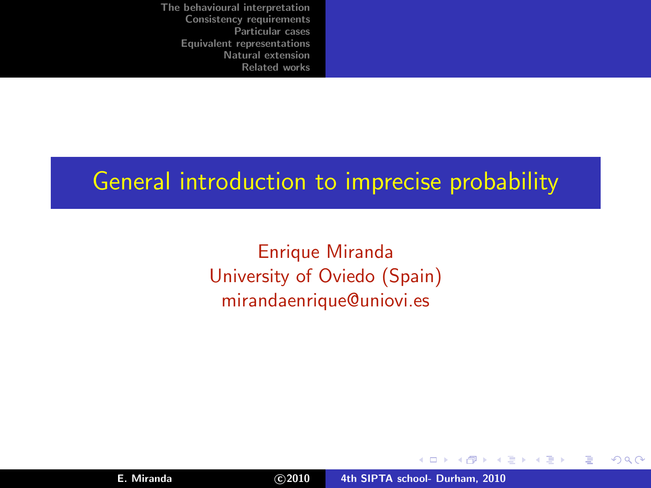### General introduction to imprecise probability

Enrique Miranda University of Oviedo (Spain) mirandaenrique@uniovi.es

K ロ ⊁ K 倒 ≯ K ミ ⊁ K ミ ⊁

<span id="page-0-0"></span> $2Q$ 

扂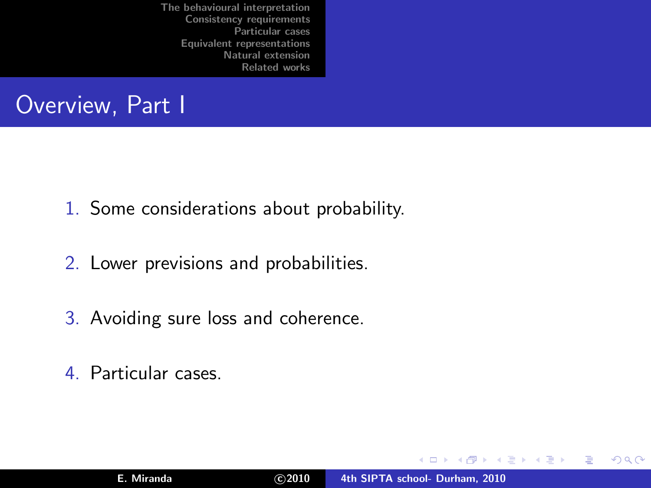# Overview, Part I

- 1. Some considerations about probability.
- 2. Lower previsions and probabilities.
- 3. Avoiding sure loss and coherence.
- 4. Particular cases.

**K ロ ▶ K 御 ▶ K 唐 ▶** 

- 세금 베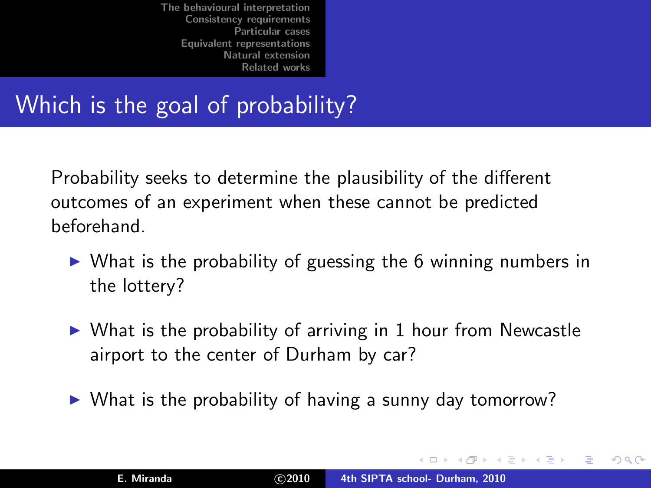# Which is the goal of probability?

Probability seeks to determine the plausibility of the different outcomes of an experiment when these cannot be predicted beforehand.

- $\triangleright$  What is the probability of guessing the 6 winning numbers in the lottery?
- $\triangleright$  What is the probability of arriving in 1 hour from Newcastle airport to the center of Durham by car?
- $\triangleright$  What is the probability of having a sunny day tomorrow?

 $4.11 \times 4.60 \times 4.71 \times$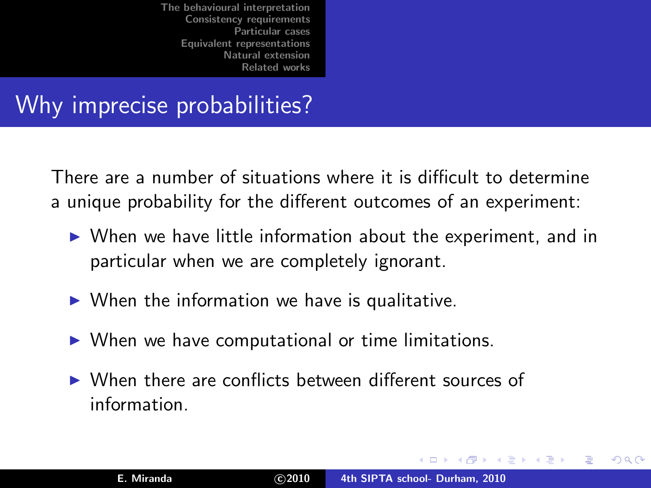# Why imprecise probabilities?

There are a number of situations where it is difficult to determine a unique probability for the different outcomes of an experiment:

- ▶ When we have little information about the experiment, and in particular when we are completely ignorant.
- $\triangleright$  When the information we have is qualitative.
- $\triangleright$  When we have computational or time limitations.
- ▶ When there are conflicts between different sources of information.

 $4.11 \times 4.60 \times 4.71 \times$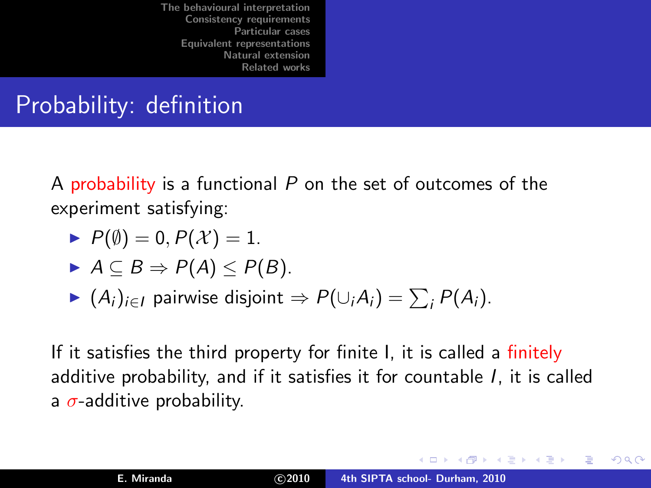# Probability: definition

A probability is a functional  $P$  on the set of outcomes of the experiment satisfying:

$$
\blacktriangleright P(\emptyset) = 0, P(\mathcal{X}) = 1.
$$

$$
\blacktriangleright A \subseteq B \Rightarrow P(A) \leq P(B).
$$

• 
$$
(A_i)_{i \in I}
$$
 pairwise disjoint  $\Rightarrow P(\cup_i A_i) = \sum_i P(A_i)$ .

If it satisfies the third property for finite I, it is called a finitely additive probability, and if it satisfies it for countable I, it is called a  $\sigma$ -additive probability.

K ロ ⊁ K 倒 ≯ K ミ ⊁ K ミ ⊁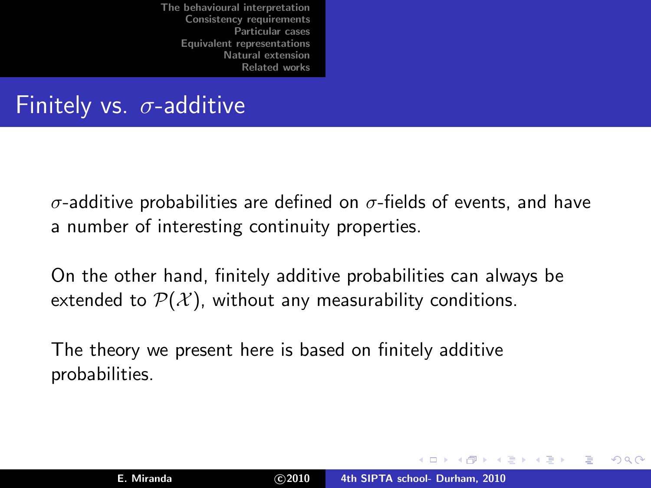# Finitely vs.  $\sigma$ -additive

σ-additive probabilities are defined on σ-fields of events, and have a number of interesting continuity properties.

On the other hand, finitely additive probabilities can always be extended to  $\mathcal{P}(\mathcal{X})$ , without any measurability conditions.

The theory we present here is based on finitely additive probabilities.

イロメ イ母メ イラメ

- 4 ⊞ +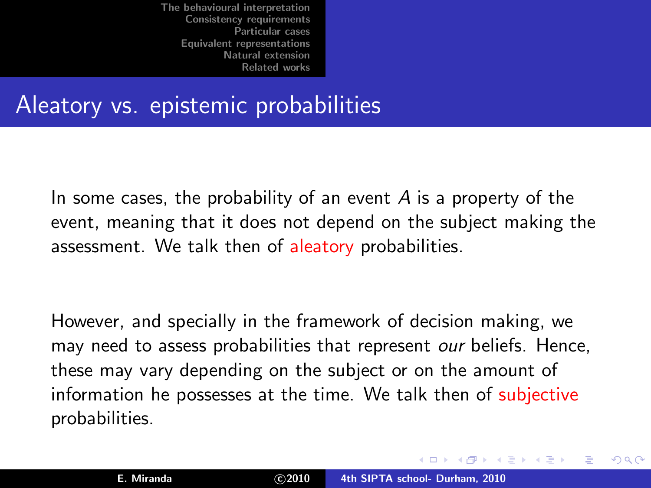## Aleatory vs. epistemic probabilities

In some cases, the probability of an event  $\overline{A}$  is a property of the event, meaning that it does not depend on the subject making the assessment. We talk then of aleatory probabilities.

However, and specially in the framework of decision making, we may need to assess probabilities that represent our beliefs. Hence, these may vary depending on the subject or on the amount of information he possesses at the time. We talk then of subjective probabilities.

K ロ ⊁ K 倒 ≯ K ミ ⊁ K ミ ⊁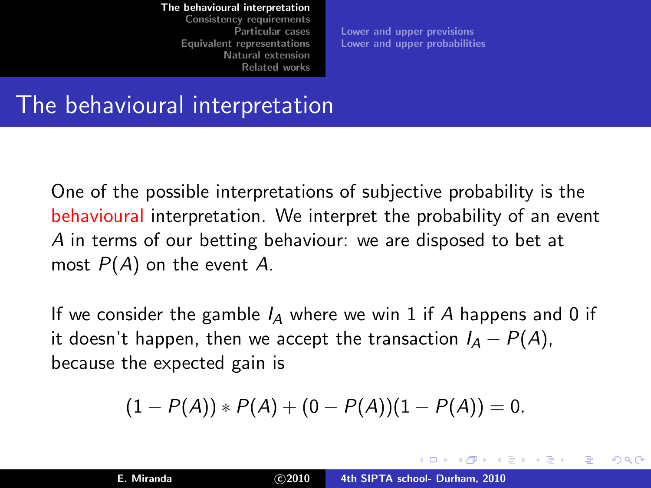[Consistency requirements](#page-23-0) [Particular cases](#page-35-0) [Equivalent representations](#page-44-0) [Natural extension](#page-58-0) [Related works](#page-68-0)

[Lower and upper previsions](#page-13-0) [Lower and upper probabilities](#page-18-0)

### The behavioural interpretation

One of the possible interpretations of subjective probability is the behavioural interpretation. We interpret the probability of an event A in terms of our betting behaviour: we are disposed to bet at most  $P(A)$  on the event A.

If we consider the gamble  $I_A$  where we win 1 if A happens and 0 if it doesn't happen, then we accept the transaction  $I_A - P(A)$ , because the expected gain is

$$
(1 - P(A)) * P(A) + (0 - P(A))(1 - P(A)) = 0.
$$

<span id="page-7-0"></span>メロメ メ御 メメ ミメ メミメ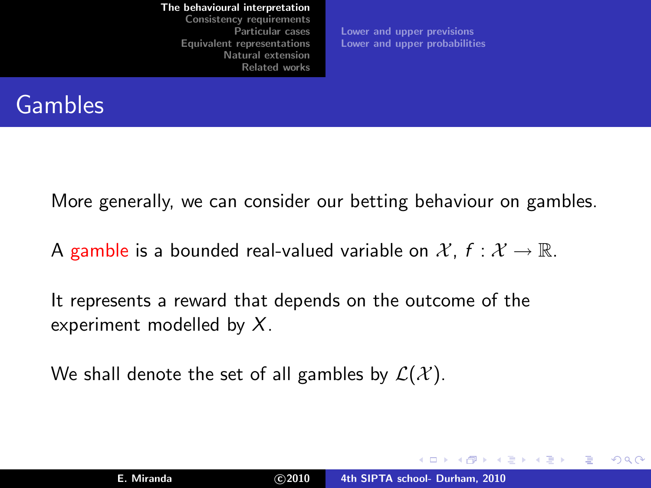[Consistency requirements](#page-23-0) [Particular cases](#page-35-0) [Equivalent representations](#page-44-0) [Natural extension](#page-58-0) [Related works](#page-68-0)

[Lower and upper previsions](#page-13-0) [Lower and upper probabilities](#page-18-0)

## Gambles

More generally, we can consider our betting behaviour on gambles.

A gamble is a bounded real-valued variable on  $X$ ,  $f : \mathcal{X} \to \mathbb{R}$ .

It represents a reward that depends on the outcome of the experiment modelled by  $X$ .

We shall denote the set of all gambles by  $\mathcal{L}(\mathcal{X})$ .

K ロ ⊁ K 倒 ≯ K ミ ⊁ K ミ ⊁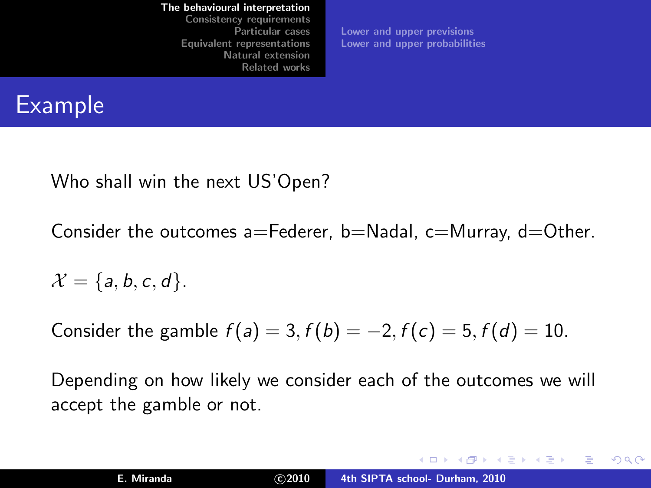[Consistency requirements](#page-23-0) [Particular cases](#page-35-0) [Equivalent representations](#page-44-0) [Natural extension](#page-58-0) [Related works](#page-68-0)

[Lower and upper previsions](#page-13-0) [Lower and upper probabilities](#page-18-0)

# Example

Who shall win the next US'Open?

Consider the outcomes  $a =$ Federer, b=Nadal, c=Murray, d=Other.

 $\mathcal{X} = \{a, b, c, d\}.$ 

Consider the gamble  $f(a) = 3, f(b) = -2, f(c) = 5, f(d) = 10$ .

Depending on how likely we consider each of the outcomes we will accept the gamble or not.

イロメ イ部メ イヨメ イヨメー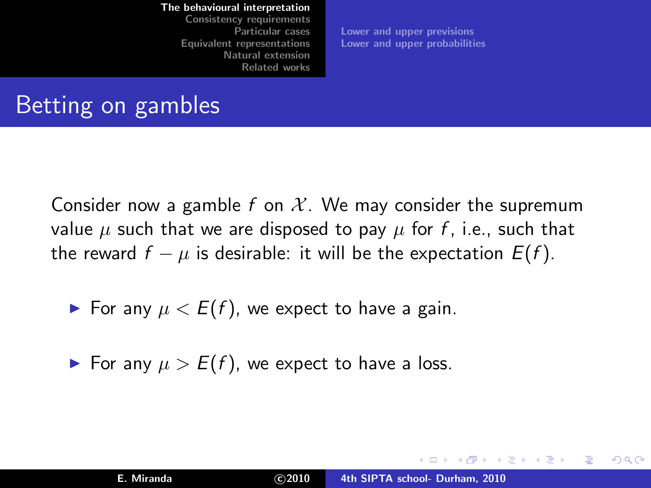[Consistency requirements](#page-23-0) [Particular cases](#page-35-0) [Equivalent representations](#page-44-0) [Natural extension](#page-58-0) [Related works](#page-68-0)

[Lower and upper previsions](#page-13-0) [Lower and upper probabilities](#page-18-0)

# Betting on gambles

Consider now a gamble f on  $\mathcal{X}$ . We may consider the supremum value  $\mu$  such that we are disposed to pay  $\mu$  for f, i.e., such that the reward  $f - \mu$  is desirable: it will be the expectation  $E(f)$ .

 $\blacktriangleright$  For any  $\mu < E(f)$ , we expect to have a gain.

► For any  $\mu > E(f)$ , we expect to have a loss.

K ロ ⊁ K 倒 ≯ K ミ ⊁ K ミ ⊁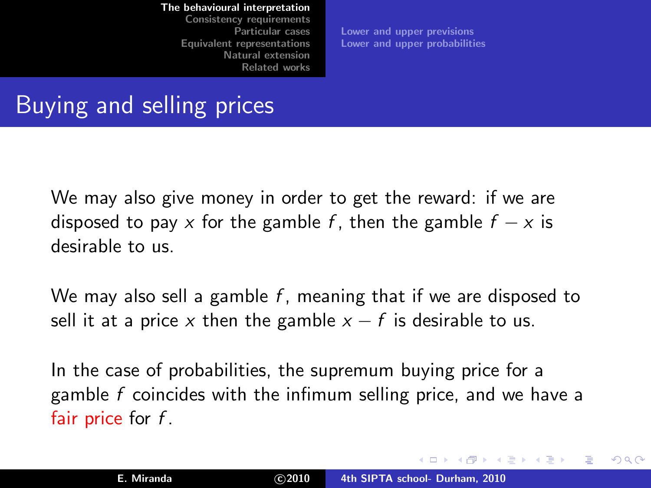[Consistency requirements](#page-23-0) [Particular cases](#page-35-0) [Equivalent representations](#page-44-0) [Natural extension](#page-58-0) [Related works](#page-68-0)

[Lower and upper previsions](#page-13-0) [Lower and upper probabilities](#page-18-0)

## Buying and selling prices

We may also give money in order to get the reward: if we are disposed to pay x for the gamble f, then the gamble  $f - x$  is desirable to us.

We may also sell a gamble  $f$ , meaning that if we are disposed to sell it at a price x then the gamble  $x - f$  is desirable to us.

In the case of probabilities, the supremum buying price for a gamble  $f$  coincides with the infimum selling price, and we have a fair price for  $f$ .

イロト イ母 ト イヨ ト イヨト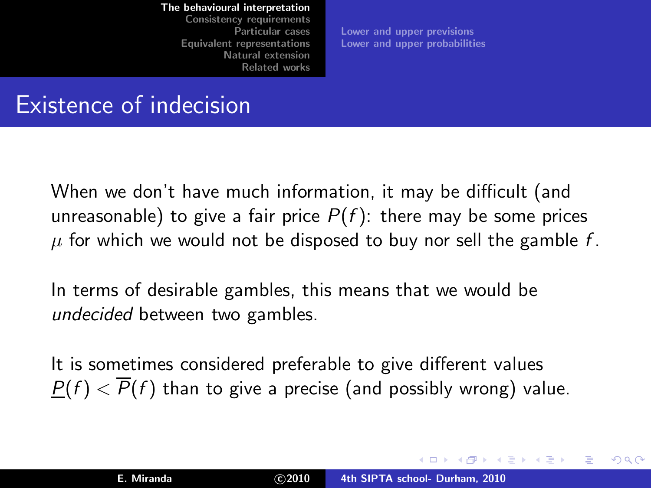[Consistency requirements](#page-23-0) [Particular cases](#page-35-0) [Equivalent representations](#page-44-0) [Natural extension](#page-58-0) [Related works](#page-68-0)

[Lower and upper previsions](#page-13-0) [Lower and upper probabilities](#page-18-0)

## Existence of indecision

When we don't have much information, it may be difficult (and unreasonable) to give a fair price  $P(f)$ : there may be some prices  $\mu$  for which we would not be disposed to buy nor sell the gamble f.

In terms of desirable gambles, this means that we would be undecided between two gambles.

It is sometimes considered preferable to give different values  $P(f) < \overline{P}(f)$  than to give a precise (and possibly wrong) value.

イロト イ母 ト イヨ ト イヨト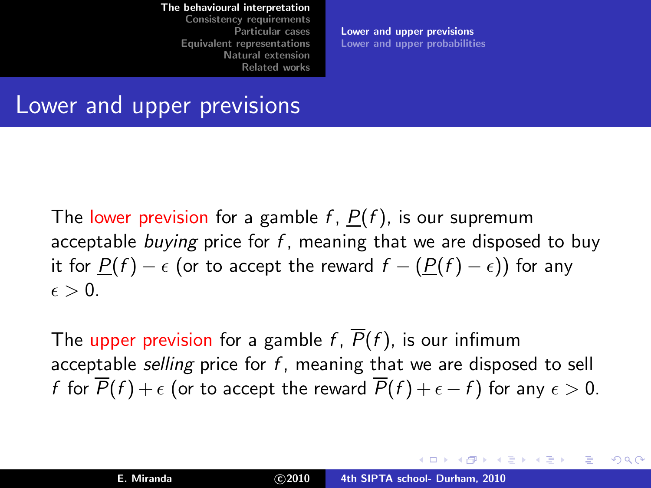[Consistency requirements](#page-23-0) [Particular cases](#page-35-0) [Equivalent representations](#page-44-0) [Natural extension](#page-58-0) [Related works](#page-68-0)

[Lower and upper previsions](#page-13-0) [Lower and upper probabilities](#page-18-0)

### Lower and upper previsions

The lower prevision for a gamble  $f$ ,  $P(f)$ , is our supremum acceptable buying price for f, meaning that we are disposed to buy it for  $P(f) - \epsilon$  (or to accept the reward  $f - (P(f) - \epsilon)$ ) for any  $\epsilon > 0$ .

The upper prevision for a gamble f,  $\overline{P}(f)$ , is our infimum acceptable selling price for  $f$ , meaning that we are disposed to sell f for  $\overline{P}(f) + \epsilon$  (or to accept the reward  $\overline{P}(f) + \epsilon - f$ ) for any  $\epsilon > 0$ .

<span id="page-13-0"></span>イロメ イ部メ イヨメ イヨメー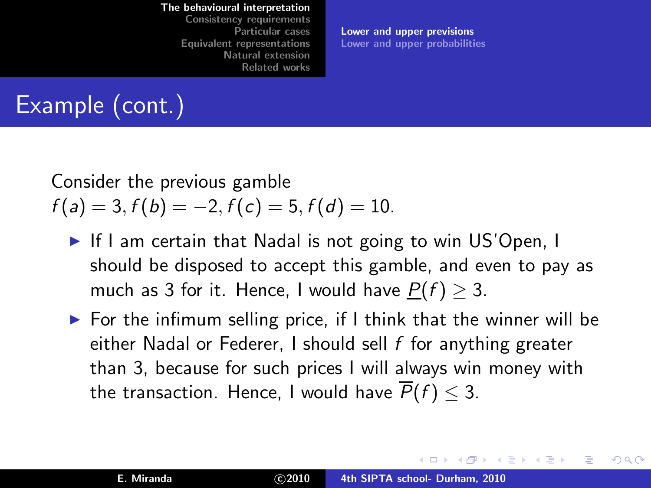[Consistency requirements](#page-23-0) [Particular cases](#page-35-0) [Equivalent representations](#page-44-0) [Natural extension](#page-58-0) [Related works](#page-68-0)

[Lower and upper previsions](#page-13-0) [Lower and upper probabilities](#page-18-0)

# Example (cont.)

### Consider the previous gamble  $f(a) = 3, f(b) = -2, f(c) = 5, f(d) = 10.$

- ► If I am certain that Nadal is not going to win US'Open, I should be disposed to accept this gamble, and even to pay as much as 3 for it. Hence, I would have  $P(f) > 3$ .
- $\triangleright$  For the infimum selling price, if I think that the winner will be either Nadal or Federer, I should sell f for anything greater than 3, because for such prices I will always win money with the transaction. Hence, I would have  $\overline{P}(f) \leq 3$ .

メロメ メ御 メメ きょくきょう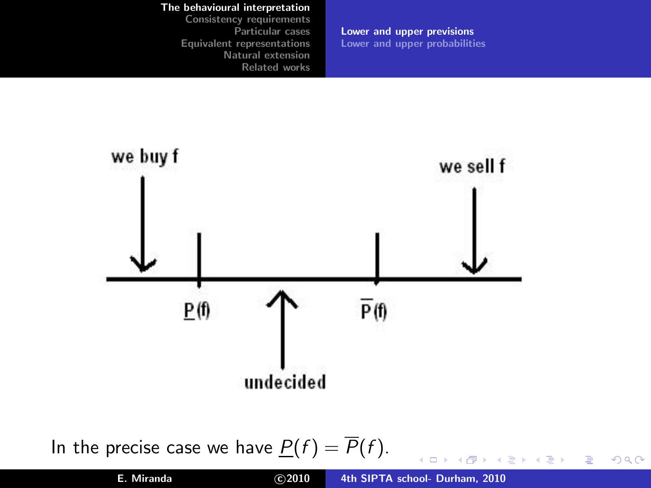[Consistency requirements](#page-23-0) [Particular cases](#page-35-0) [Equivalent representations](#page-44-0) [Natural extension](#page-58-0) [Related works](#page-68-0)

[Lower and upper previsions](#page-13-0) [Lower and upper probabilities](#page-18-0)



In the precise case we have  $P(f) = \overline{P}(f)$ .

イロト イ母 ト イヨ ト イヨト

ă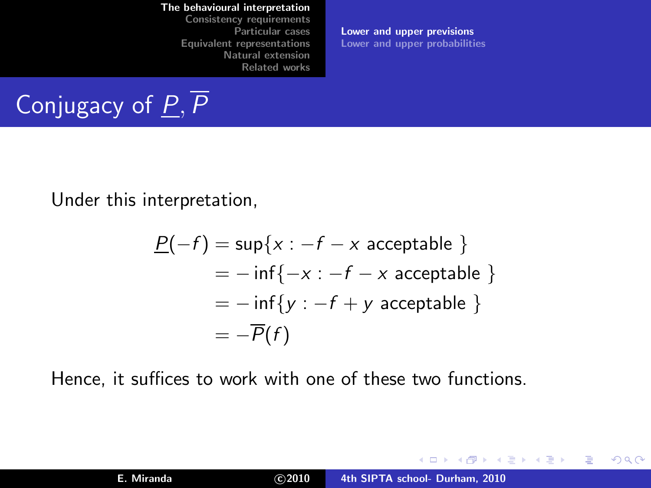[Consistency requirements](#page-23-0) [Particular cases](#page-35-0) [Equivalent representations](#page-44-0) [Natural extension](#page-58-0) [Related works](#page-68-0)

[Lower and upper previsions](#page-13-0) [Lower and upper probabilities](#page-18-0)

Conjugacy of  $\overline{P}$ ,  $\overline{P}$ 

Under this interpretation,

$$
\underline{P}(-f) = \sup\{x : -f - x \text{ acceptable }\}
$$
  
=  $-\inf\{-x : -f - x \text{ acceptable }\}$   
=  $-\inf\{y : -f + y \text{ acceptable }\}$   
=  $-\overline{P}(f)$ 

Hence, it suffices to work with one of these two functions.

メロメ メ御き メミメメミメー

重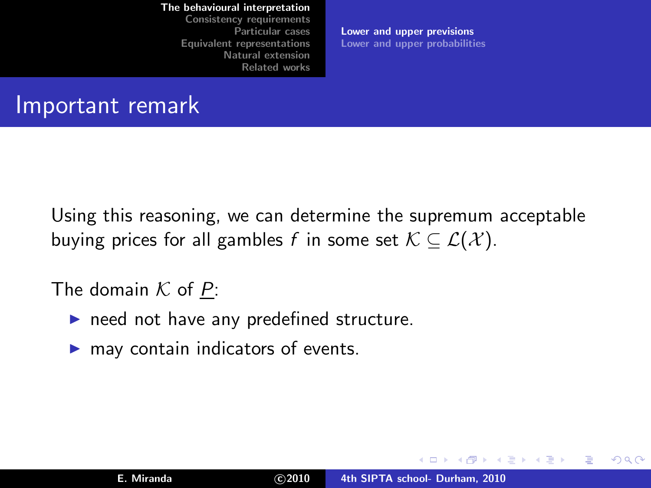[Consistency requirements](#page-23-0) [Particular cases](#page-35-0) [Equivalent representations](#page-44-0) [Natural extension](#page-58-0) [Related works](#page-68-0)

[Lower and upper previsions](#page-13-0) [Lower and upper probabilities](#page-18-0)

### Important remark

Using this reasoning, we can determine the supremum acceptable buying prices for all gambles f in some set  $\mathcal{K} \subseteq \mathcal{L}(\mathcal{X})$ .

### The domain  $K$  of  $P$ :

- $\blacktriangleright$  need not have any predefined structure.
- $\blacktriangleright$  may contain indicators of events.

**K ロ ▶ K 御 ▶ K 唐 ▶** 

- 4 E X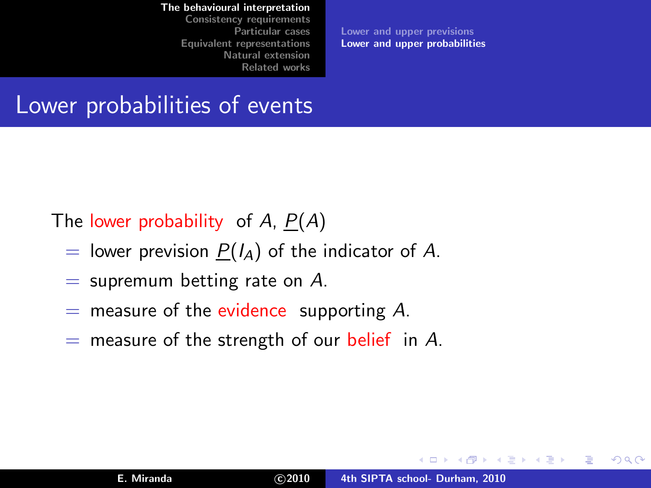[Consistency requirements](#page-23-0) [Particular cases](#page-35-0) [Equivalent representations](#page-44-0) [Natural extension](#page-58-0) [Related works](#page-68-0)

[Lower and upper previsions](#page-13-0) [Lower and upper probabilities](#page-18-0)

### Lower probabilities of events

The lower probability of A,  $P(A)$ 

- = lower prevision  $P(I_A)$  of the indicator of A.
- $=$  supremum betting rate on A.
- $=$  measure of the evidence supporting A.
- $=$  measure of the strength of our belief in A.

メロメ メ御 メメ ミメ メミメ

<span id="page-18-0"></span> $290$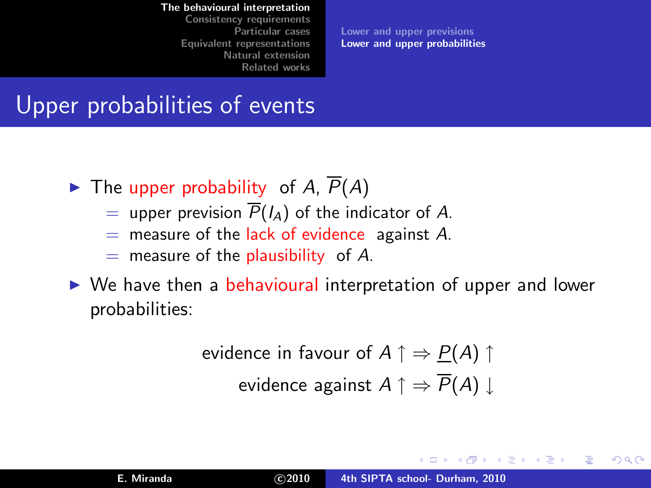[Consistency requirements](#page-23-0) [Particular cases](#page-35-0) [Equivalent representations](#page-44-0) [Natural extension](#page-58-0) [Related works](#page-68-0)

[Lower and upper previsions](#page-13-0) [Lower and upper probabilities](#page-18-0)

## Upper probabilities of events

- $\blacktriangleright$  The upper probability of A,  $\overline{P}(A)$ 
	- = upper prevision  $\overline{P}(I_A)$  of the indicator of A.
	- $=$  measure of the lack of evidence against A.
	- $=$  measure of the plausibility of A.
- ► We have then a behavioural interpretation of upper and lower probabilities:

evidence in favour of 
$$
A \uparrow \Rightarrow P(A) \uparrow
$$

\nevidence against  $A \uparrow \Rightarrow \overline{P}(A) \downarrow$ 

∢ ロ ▶ . ∢ 母 ▶ . ∢ ヨ ▶

ia ⊞is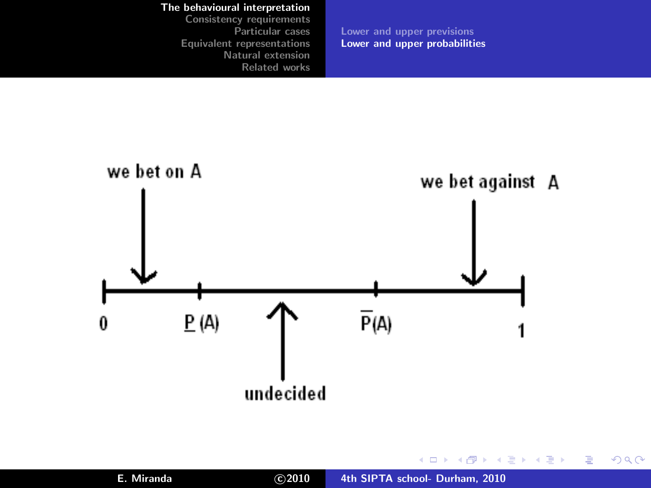[Consistency requirements](#page-23-0) [Particular cases](#page-35-0) [Equivalent representations](#page-44-0) [Natural extension](#page-58-0) [Related works](#page-68-0)

[Lower and upper previsions](#page-13-0) [Lower and upper probabilities](#page-18-0)

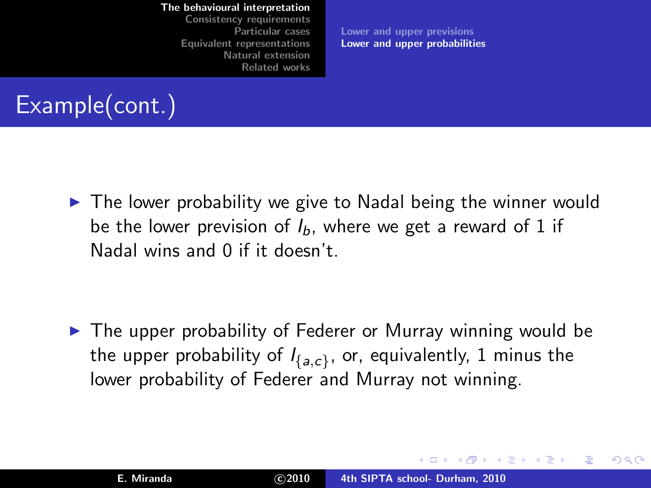[Consistency requirements](#page-23-0) [Particular cases](#page-35-0) [Equivalent representations](#page-44-0) [Natural extension](#page-58-0) [Related works](#page-68-0)

[Lower and upper previsions](#page-13-0) [Lower and upper probabilities](#page-18-0)

# Example(cont.)

▶ The lower probability we give to Nadal being the winner would be the lower prevision of  $I<sub>b</sub>$ , where we get a reward of 1 if Nadal wins and 0 if it doesn't.

▶ The upper probability of Federer or Murray winning would be the upper probability of  $I_{\{a,c\}}$ , or, equivalently, 1 minus the lower probability of Federer and Murray not winning.

イロメ イ母 トラ ミッショント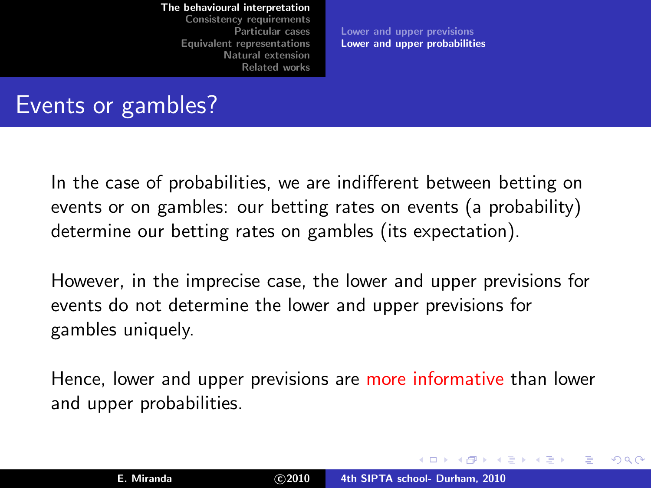[Consistency requirements](#page-23-0) [Particular cases](#page-35-0) [Equivalent representations](#page-44-0) [Natural extension](#page-58-0) [Related works](#page-68-0)

[Lower and upper previsions](#page-13-0) [Lower and upper probabilities](#page-18-0)

# Events or gambles?

In the case of probabilities, we are indifferent between betting on events or on gambles: our betting rates on events (a probability) determine our betting rates on gambles (its expectation).

However, in the imprecise case, the lower and upper previsions for events do not determine the lower and upper previsions for gambles uniquely.

Hence, lower and upper previsions are more informative than lower and upper probabilities.

K ロ ⊁ K 倒 ≯ K ミ ⊁ K ミ ⊁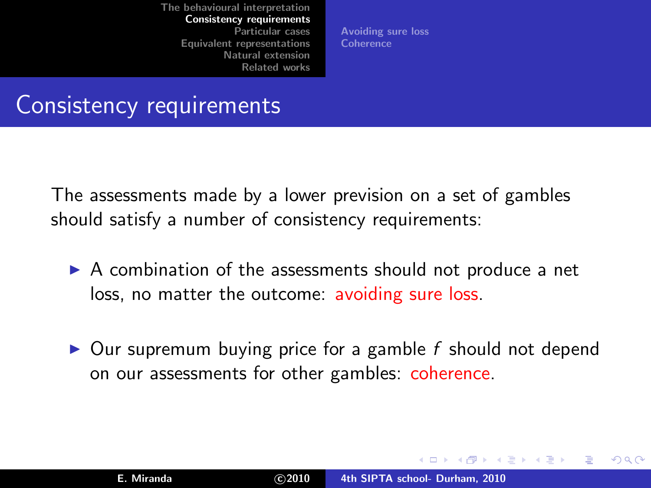[Avoiding sure loss](#page-24-0) **[Coherence](#page-27-0)** 

### Consistency requirements

The assessments made by a lower prevision on a set of gambles should satisfy a number of consistency requirements:

- ▶ A combination of the assessments should not produce a net loss, no matter the outcome: avoiding sure loss.
- $\triangleright$  Our supremum buying price for a gamble f should not depend on our assessments for other gambles: coherence.

<span id="page-23-0"></span> $4.11 \times 4.60 \times 4.71 \times$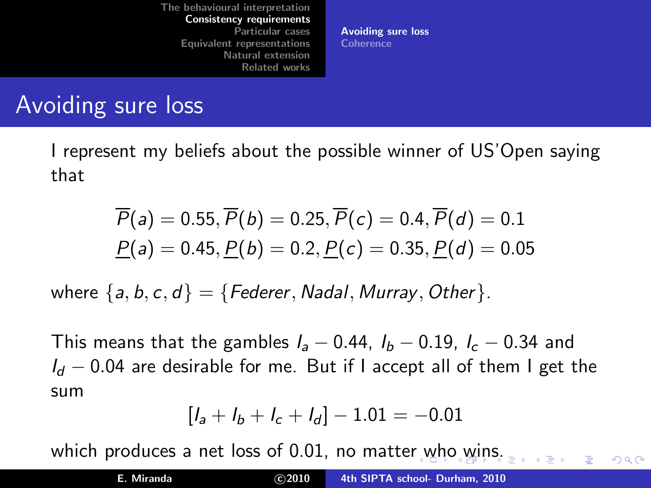[Avoiding sure loss](#page-24-0) **[Coherence](#page-27-0)** 

### Avoiding sure loss

I represent my beliefs about the possible winner of US'Open saying that

$$
\overline{P}(a) = 0.55, \overline{P}(b) = 0.25, \overline{P}(c) = 0.4, \overline{P}(d) = 0.1
$$
  

$$
\underline{P}(a) = 0.45, \underline{P}(b) = 0.2, \underline{P}(c) = 0.35, \underline{P}(d) = 0.05
$$

where  $\{a, b, c, d\} = \{Federer, Nadal, Murray, Other\}.$ 

This means that the gambles  $I_a - 0.44$ ,  $I_b - 0.19$ ,  $I_c - 0.34$  and  $I_d$  − 0.04 are desirable for me. But if I accept all of them I get the sum

$$
[l_a + l_b + l_c + l_d] - 1.01 = -0.01
$$

<span id="page-24-0"></span>へのへ

which produces a net loss of 0.01, no matte[r w](#page-23-0)[ho](#page-25-0) [wi](#page-24-0)[n](#page-25-0)[s.](#page-23-0)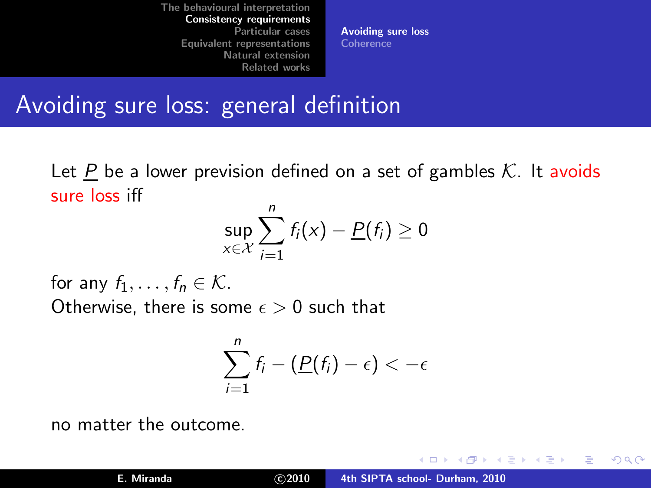[Avoiding sure loss](#page-24-0) **[Coherence](#page-27-0)** 

### Avoiding sure loss: general definition

Let P be a lower prevision defined on a set of gambles  $K$ . It avoids sure loss iff

$$
\sup_{x \in \mathcal{X}} \sum_{i=1}^n f_i(x) - \underline{P}(f_i) \geq 0
$$

for any  $f_1, \ldots, f_n \in \mathcal{K}$ . Otherwise, there is some  $\epsilon > 0$  such that

$$
\sum_{i=1}^n f_i - (\underline{P}(f_i) - \epsilon) < -\epsilon
$$

no matter the outcome.

<span id="page-25-0"></span>K ロ ⊁ K 倒 ≯ K ミ ⊁ K ミ ⊁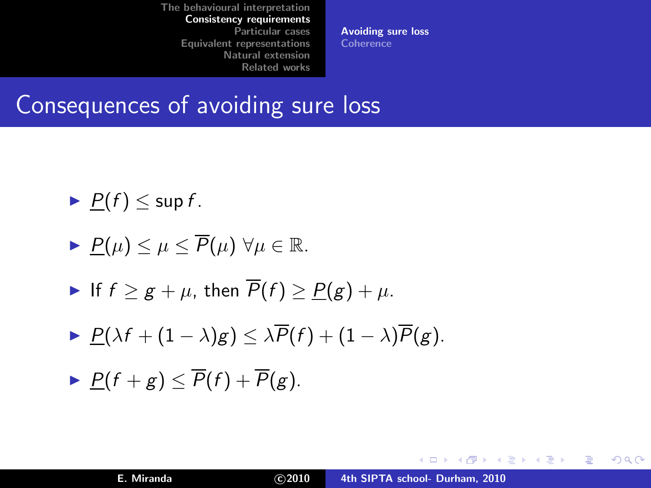[Avoiding sure loss](#page-24-0) **[Coherence](#page-27-0)** 

### Consequences of avoiding sure loss

$$
\blacktriangleright \underline{P}(f) \leq \sup f.
$$

$$
\blacktriangleright \underline{P(\mu)} \leq \mu \leq \overline{P}(\mu) \ \forall \mu \in \mathbb{R}.
$$

• If 
$$
f \geq g + \mu
$$
, then  $\overline{P}(f) \geq \underline{P}(g) + \mu$ .

 $\blacktriangleright P(\lambda f + (1 - \lambda)g) \leq \lambda \overline{P}(f) + (1 - \lambda) \overline{P}(g).$ 

$$
\blacktriangleright \underline{P}(f+g) \leq \overline{P}(f) + \overline{P}(g).
$$

メロメ メ御き メミメメミメー

重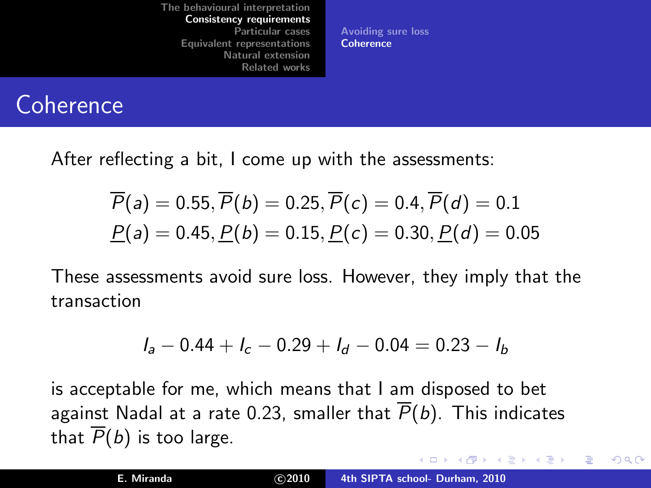[Avoiding sure loss](#page-24-0) [Coherence](#page-27-0)

## **Coherence**

After reflecting a bit, I come up with the assessments:

$$
\overline{P}(a) = 0.55, \overline{P}(b) = 0.25, \overline{P}(c) = 0.4, \overline{P}(d) = 0.1
$$
  

$$
\underline{P}(a) = 0.45, \underline{P}(b) = 0.15, \underline{P}(c) = 0.30, \underline{P}(d) = 0.05
$$

These assessments avoid sure loss. However, they imply that the transaction

$$
I_a - 0.44 + I_c - 0.29 + I_d - 0.04 = 0.23 - I_b
$$

is acceptable for me, which means that I am disposed to bet against Nadal at a rate 0.23, smaller that  $\overline{P}(b)$ . This indicates that  $\overline{P}(b)$  is too large.

**K ロ ▶ K 御 ▶ K 唐 ▶** 

<span id="page-27-0"></span>- 4 E X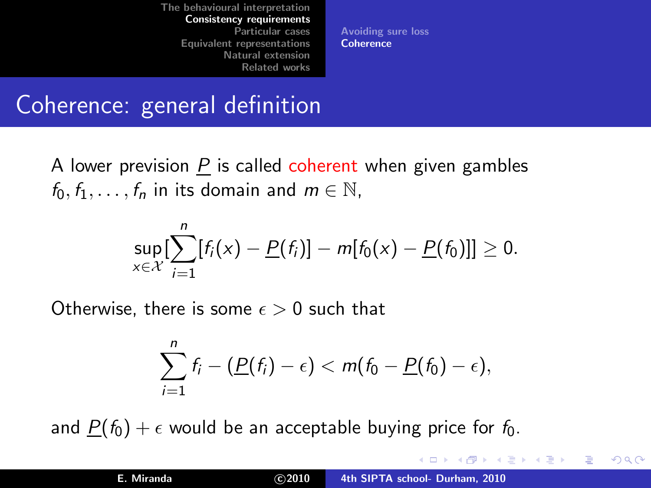[Avoiding sure loss](#page-24-0) **[Coherence](#page-27-0)** 

### Coherence: general definition

A lower prevision  $P$  is called coherent when given gambles  $f_0, f_1, \ldots, f_n$  in its domain and  $m \in \mathbb{N}$ ,

$$
\sup_{x \in \mathcal{X}} \left[ \sum_{i=1}^n [f_i(x) - \underline{P}(f_i)] - m[f_0(x) - \underline{P}(f_0)] \right] \geq 0.
$$

Otherwise, there is some  $\epsilon > 0$  such that

$$
\sum_{i=1}^n f_i - (\underline{P}(f_i) - \epsilon) < m(f_0 - \underline{P}(f_0) - \epsilon),
$$

and  $P(f_0) + \epsilon$  would be an acceptable buying price for  $f_0$ .

イロメ イ母メ イラメ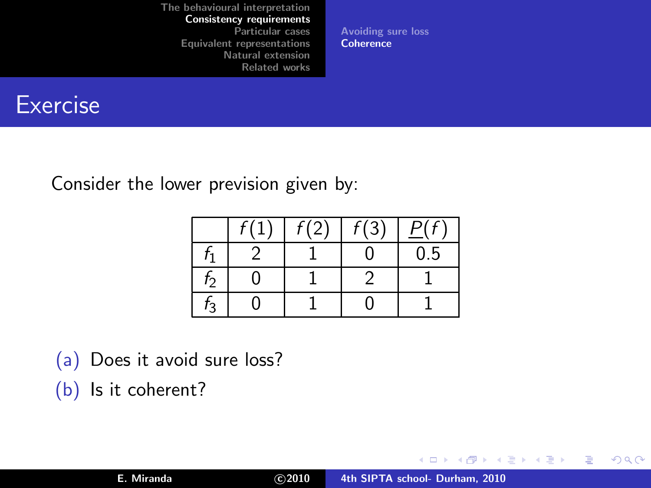[Avoiding sure loss](#page-24-0) **[Coherence](#page-27-0)** 



Consider the lower prevision given by:

|    | f (1 | $\overline{f(2)}$ | f(3) |     |
|----|------|-------------------|------|-----|
|    |      |                   |      | 0.5 |
| to |      |                   |      |     |
| t٦ |      |                   |      |     |

(a) Does it avoid sure loss? (b) Is it coherent?

K ロ ⊁ K 倒 ≯ K ミ ⊁ K ミ ⊁

重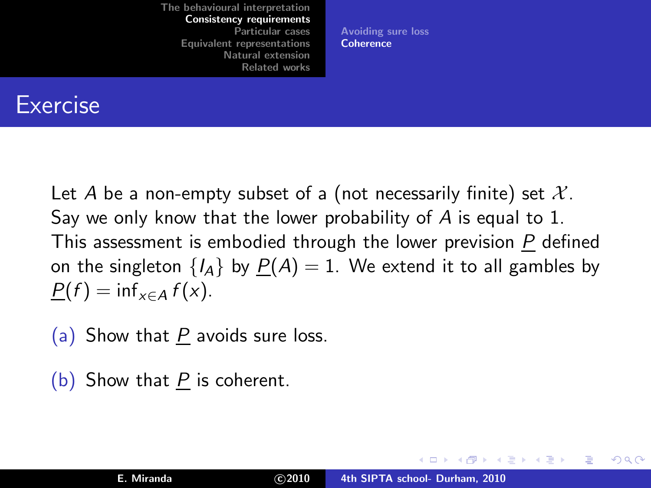[Avoiding sure loss](#page-24-0) [Coherence](#page-27-0)

### Exercise

Let A be a non-empty subset of a (not necessarily finite) set  $\mathcal{X}$ . Say we only know that the lower probability of A is equal to 1. This assessment is embodied through the lower prevision P defined on the singleton  $\{I_A\}$  by  $P(A) = 1$ . We extend it to all gambles by  $P(f) = \inf_{x \in A} f(x)$ .

(a) Show that  $P$  avoids sure loss.

 $(b)$  Show that P is coherent.

メロメ メ団メ メミメ メミメ

 $290$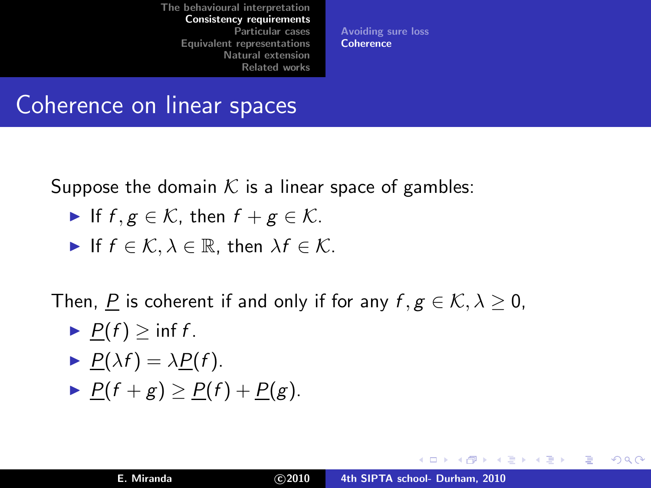[Avoiding sure loss](#page-24-0) **[Coherence](#page-27-0)** 

### Coherence on linear spaces

Suppose the domain K is a linear space of gambles:

If 
$$
f, g \in \mathcal{K}
$$
, then  $f + g \in \mathcal{K}$ .

If 
$$
f \in \mathcal{K}, \lambda \in \mathbb{R}
$$
, then  $\lambda f \in \mathcal{K}$ .

Then, P is coherent if and only if for any  $f, g \in \mathcal{K}, \lambda > 0$ ,

$$
\blacktriangleright \underline{P}(f) \geq \inf f.
$$

$$
\blacktriangleright \underline{P}(\lambda f) = \lambda \underline{P}(f).
$$

$$
\blacktriangleright \underline{P}(f+g) \geq \underline{P}(f) + \underline{P}(g).
$$

K ロ ⊁ K 倒 ≯ K ミ ⊁ K ミ ⊁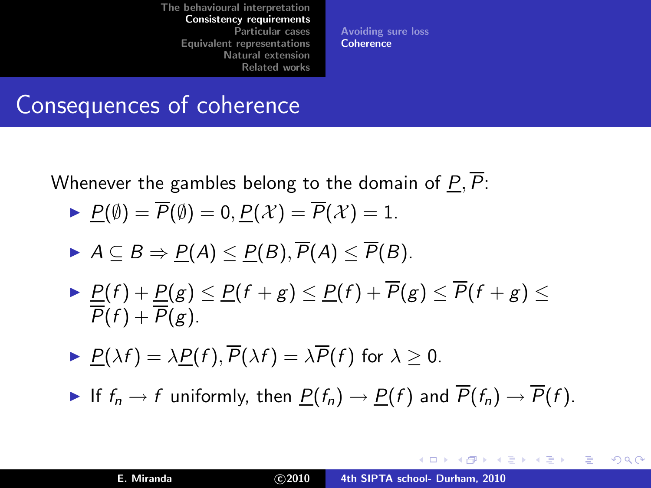[Avoiding sure loss](#page-24-0) **[Coherence](#page-27-0)** 

### Consequences of coherence

Whenever the gambles belong to the domain of  $P, \overline{P}$ :

- $P(\emptyset) = \overline{P}(\emptyset) = 0, P(\mathcal{X}) = \overline{P}(\mathcal{X}) = 1.$
- $\blacktriangleright$   $A \subseteq B \Rightarrow P(A) \leq P(B), \overline{P}(A) \leq \overline{P}(B).$
- $\blacktriangleright$   $\underline{P}(f) + \underline{P}(g) \le \underline{P}(f + g) \le \underline{P}(f) + P(g) \le P(f + g) \le$  $P(f) + P(g)$ .
- $P(\lambda f) = \lambda P(f), \overline{P}(\lambda f) = \lambda \overline{P}(f)$  for  $\lambda > 0$ .
- If  $f_n \to f$  uniformly, then  $\underline{P}(f_n) \to \underline{P}(f)$  and  $\overline{P}(f_n) \to \overline{P}(f)$ .

イロメ イ部メ イヨメ イヨメー

 $\Omega$ 

目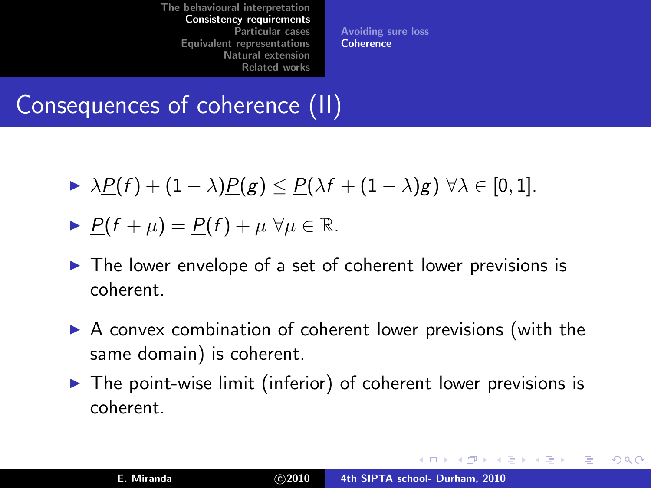[Avoiding sure loss](#page-24-0) [Coherence](#page-27-0)

# Consequences of coherence (II)

 $\rightarrow \lambda P(f) + (1 - \lambda) P(g) \leq P(\lambda f + (1 - \lambda) g) \ \forall \lambda \in [0, 1].$ 

$$
\blacktriangleright \underline{P}(f + \mu) = \underline{P}(f) + \mu \ \forall \mu \in \mathbb{R}.
$$

- $\triangleright$  The lower envelope of a set of coherent lower previsions is coherent.
- ▶ A convex combination of coherent lower previsions (with the same domain) is coherent.
- $\triangleright$  The point-wise limit (inferior) of coherent lower previsions is coherent.

K ロ ⊁ K 倒 ≯ K ミ ⊁ K ミ ⊁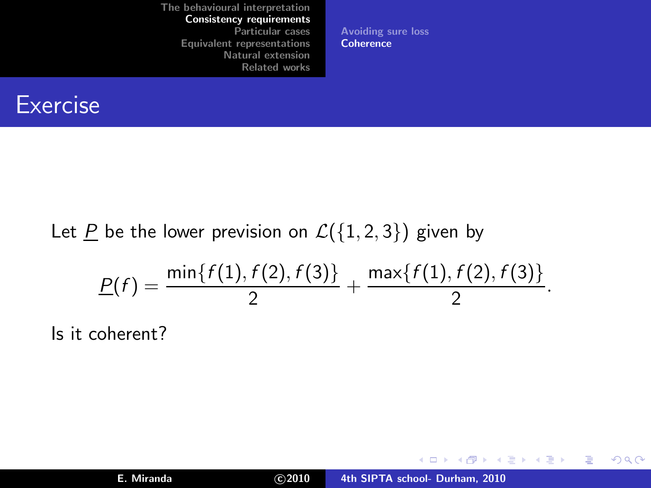[Avoiding sure loss](#page-24-0) **[Coherence](#page-27-0)** 

### Exercise

Let P be the lower prevision on  $\mathcal{L}(\{1, 2, 3\})$  given by

$$
\underline{P}(f) = \frac{\min\{f(1), f(2), f(3)\}}{2} + \frac{\max\{f(1), f(2), f(3)\}}{2}.
$$

Is it coherent?

イロト イ部 トイミト イミト

重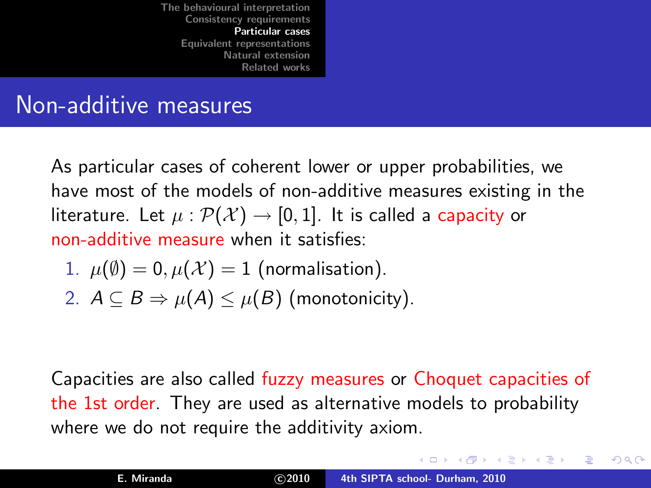## Non-additive measures

As particular cases of coherent lower or upper probabilities, we have most of the models of non-additive measures existing in the literature. Let  $\mu : \mathcal{P}(\mathcal{X}) \to [0,1]$ . It is called a capacity or non-additive measure when it satisfies:

1. 
$$
\mu(\emptyset) = 0, \mu(\mathcal{X}) = 1
$$
 (normalisation).

2. 
$$
A \subseteq B \Rightarrow \mu(A) \le \mu(B)
$$
 (monotonicity).

Capacities are also called fuzzy measures or Choquet capacities of the 1st order. They are used as alternative models to probability where we do not require the additivity axiom.

<span id="page-35-0"></span>K ロ ⊁ K 倒 ≯ K ミ ⊁ K ミ ⊁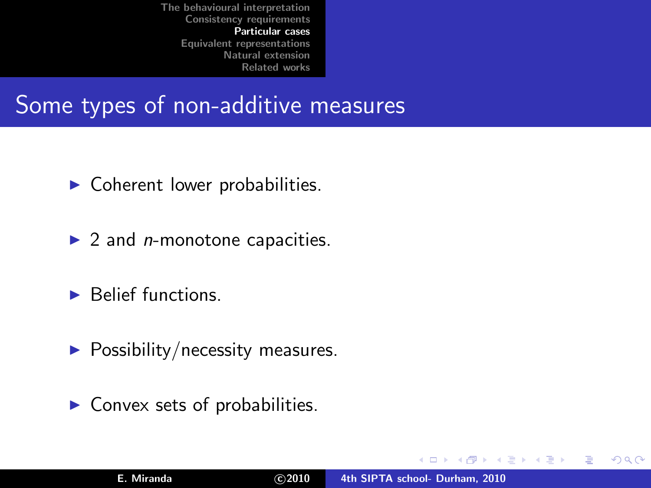## Some types of non-additive measures

- $\blacktriangleright$  Coherent lower probabilities.
- $\blacktriangleright$  2 and *n*-monotone capacities.
- $\blacktriangleright$  Belief functions.
- $\blacktriangleright$  Possibility/necessity measures.
- $\blacktriangleright$  Convex sets of probabilities.

4 0 1 1

→ 伊 ▶ → 唐

オ 三 玉

 $\Omega$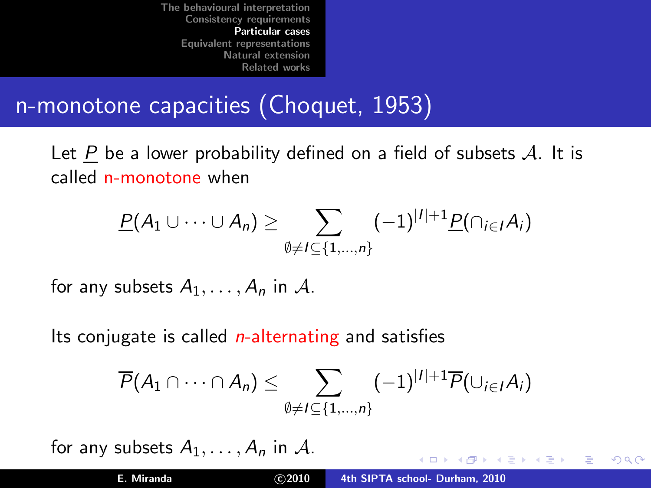### n-monotone capacities (Choquet, 1953)

Let P be a lower probability defined on a field of subsets  $\mathcal{A}$ . It is called n-monotone when

$$
\underline{P}(A_1 \cup \cdots \cup A_n) \geq \sum_{\emptyset \neq I \subseteq \{1,\ldots,n\}} (-1)^{|I|+1} \underline{P}(\cap_{i \in I} A_i)
$$

for any subsets  $A_1, \ldots, A_n$  in A.

Its conjugate is called  $n$ -alternating and satisfies

$$
\overline{P}(A_1 \cap \cdots \cap A_n) \leq \sum_{\emptyset \neq l \subseteq \{1,\ldots,n\}} (-1)^{|l|+1} \overline{P}(\cup_{i \in I} A_i)
$$

for any subsets  $A_1, \ldots, A_n$  in A.

イロメ イ母メ イミメ

 $\rightarrow$   $\equiv$   $\rightarrow$ 

 $\Omega$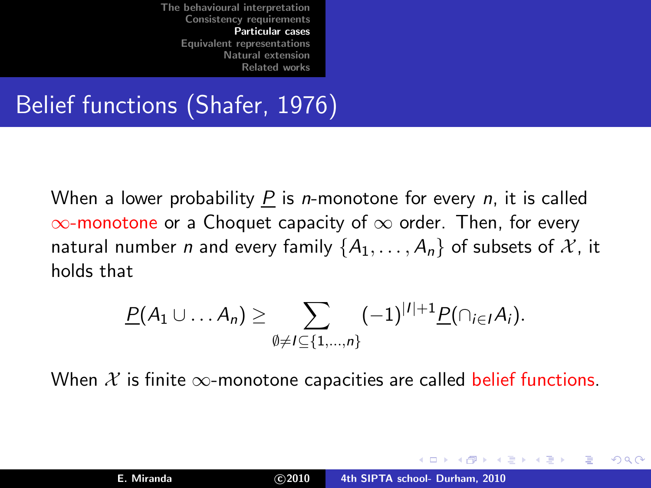## Belief functions (Shafer, 1976)

When a lower probability  $P$  is *n*-monotone for every  $n$ , it is called  $\infty$ -monotone or a Choquet capacity of  $\infty$  order. Then, for every natural number *n* and every family  $\{A_1, \ldots, A_n\}$  of subsets of X, it holds that

$$
\underline{P}(A_1\cup\ldots A_n)\geq \sum_{\emptyset\neq I\subseteq\{1,\ldots,n\}}(-1)^{|I|+1}\underline{P}(\cap_{i\in I}A_i).
$$

When  $X$  is finite  $\infty$ -monotone capacities are called belief functions.

K ロ ⊁ K 倒 ≯ K ミ ⊁ K ミ ⊁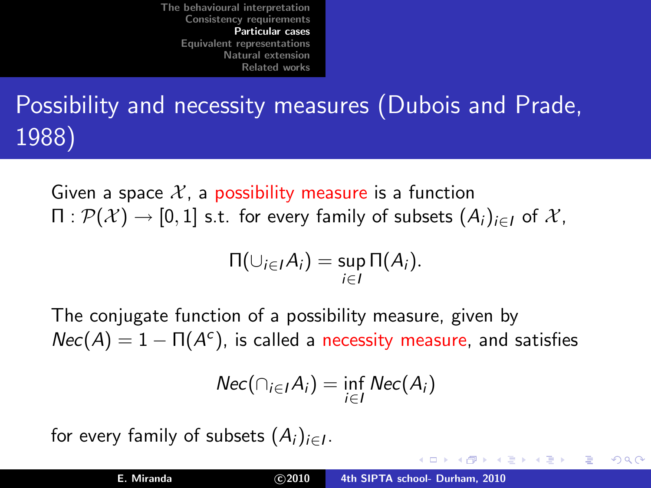Possibility and necessity measures (Dubois and Prade, 1988)

Given a space  $\mathcal{X}$ , a possibility measure is a function  $\Pi : \mathcal{P}(\mathcal{X}) \to [0,1]$  s.t. for every family of subsets  $(A_i)_{i\in I}$  of  $\mathcal{X}$ ,

$$
\Pi(\cup_{i\in I}A_i)=\sup_{i\in I}\Pi(A_i).
$$

The conjugate function of a possibility measure, given by  $Nec(A) = 1 - \Pi(A<sup>c</sup>)$ , is called a necessity measure, and satisfies

$$
Nec(\cap_{i\in I}A_i)=\inf_{i\in I}Nec(A_i)
$$

for every family of subsets  $(A_i)_{i\in I}.$ 

イロメ マ桐 メラミンマティ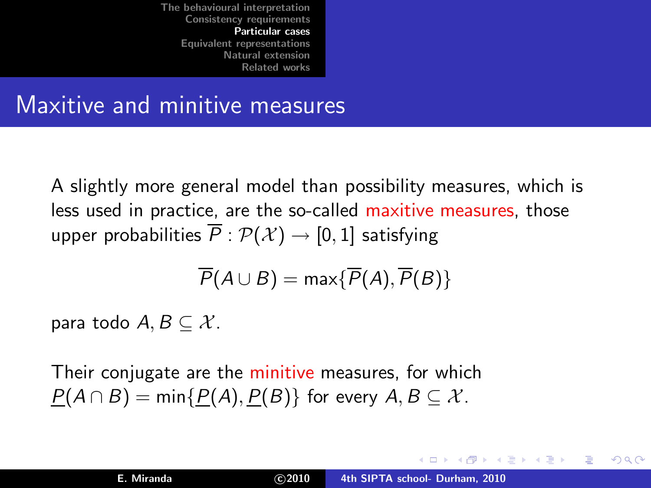### Maxitive and minitive measures

A slightly more general model than possibility measures, which is less used in practice, are the so-called maxitive measures, those upper probabilities  $\overline{P}: \mathcal{P}(\mathcal{X}) \rightarrow [0, 1]$  satisfying

$$
\overline{P}(A \cup B) = \max{\{\overline{P}(A), \overline{P}(B)\}}
$$

para todo  $A, B \subset \mathcal{X}$ .

Their conjugate are the minitive measures, for which  $P(A \cap B) = min\{P(A), P(B)\}\$ for every  $A, B \subseteq \mathcal{X}$ .

イロト イ母ト イヨト イヨト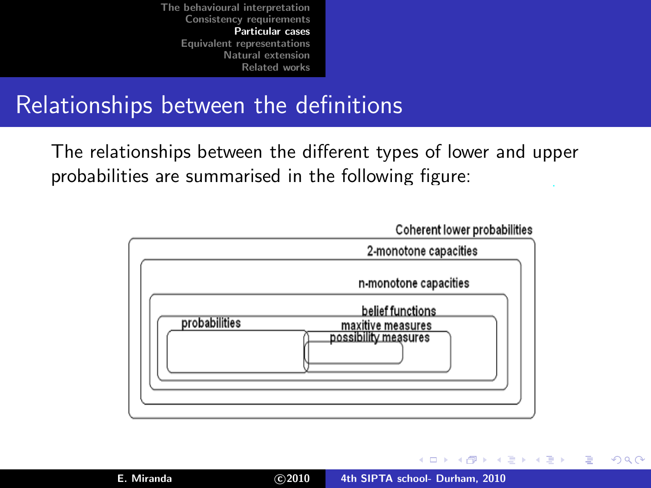#### Relationships between the definitions

The relationships between the different types of lower and upper probabilities are summarised in the following figure:



**K ロ ▶ K 御 ▶ K 唐 ▶** 

 $\rightarrow$   $\pm$   $\rightarrow$ 

 $2Q$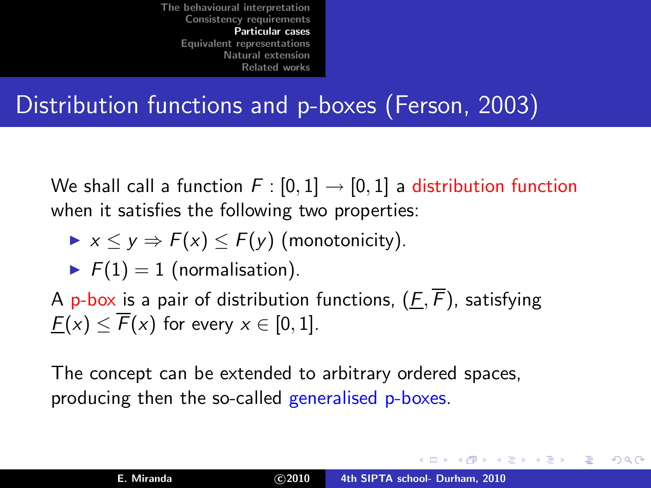## Distribution functions and p-boxes (Ferson, 2003)

We shall call a function  $F : [0, 1] \rightarrow [0, 1]$  a distribution function when it satisfies the following two properties:

$$
\blacktriangleright x \leq y \Rightarrow F(x) \leq F(y) \text{ (monotonicity)}.
$$

$$
\blacktriangleright
$$
  $F(1) = 1$  (normalisation).

A p-box is a pair of distribution functions,  $(F, \overline{F})$ , satisfying  $F(x) \leq \overline{F}(x)$  for every  $x \in [0,1]$ .

The concept can be extended to arbitrary ordered spaces, producing then the so-called generalised p-boxes.

イロメ イ母 トラ ミッショント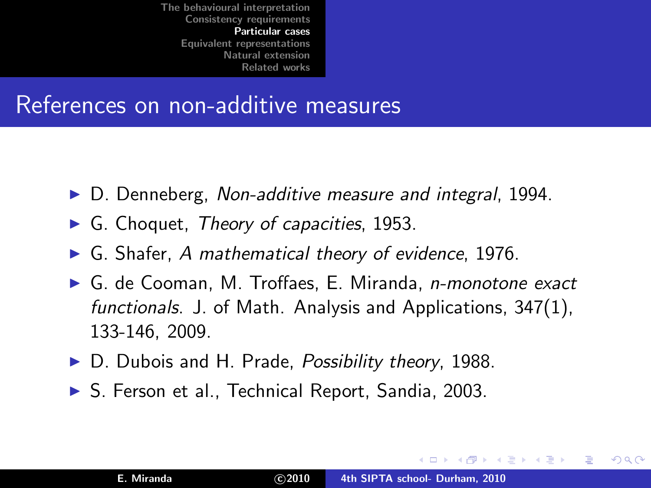### References on non-additive measures

- ▶ D. Denneberg, Non-additive measure and integral, 1994.
- $\blacktriangleright$  G. Choquet, Theory of capacities, 1953.
- ▶ G. Shafer, A mathematical theory of evidence, 1976.
- ▶ G. de Cooman, M. Troffaes, E. Miranda, *n-monotone exact* functionals. J. of Math. Analysis and Applications, 347(1), 133-146, 2009.
- ► D. Dubois and H. Prade, Possibility theory, 1988.
- ▶ S. Ferson et al., Technical Report, Sandia, 2003.

 $\left\{ \begin{array}{ccc} 1 & 0 & 0 \\ 0 & 1 & 0 \end{array} \right\}$  ,  $\left\{ \begin{array}{ccc} -1 & 0 & 0 \\ 0 & 0 & 0 \end{array} \right\}$ 

<span id="page-43-0"></span>つくい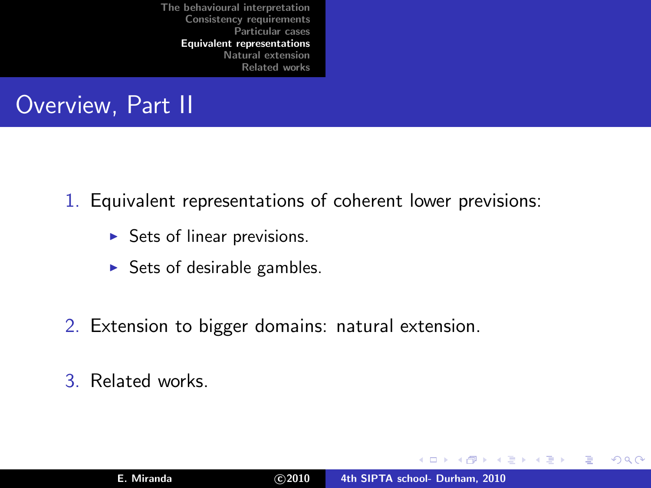## Overview, Part II

1. Equivalent representations of coherent lower previsions:

- $\triangleright$  Sets of linear previsions.
- $\triangleright$  Sets of desirable gambles.
- 2. Extension to bigger domains: natural extension.

3. Related works.

**K ロ ト K 御 ト K 走 ト** 

ia ⊞is

<span id="page-44-0"></span> $290$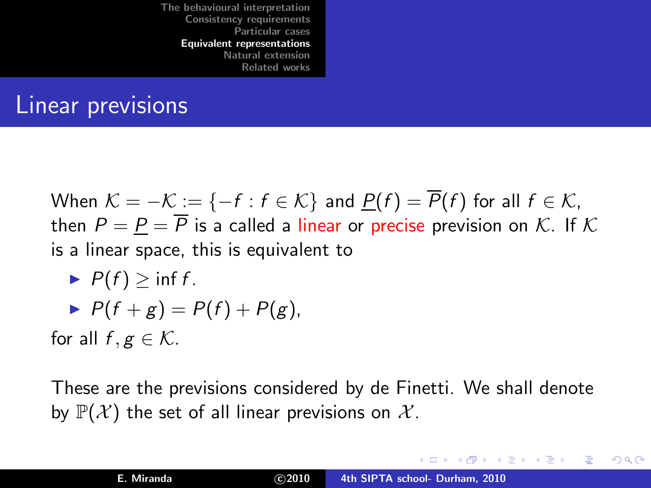#### Linear previsions

When  $\mathcal{K} = -\mathcal{K} := \{-f : f \in \mathcal{K}\}\$ and  $P(f) = \overline{P}(f)$  for all  $f \in \mathcal{K}$ , then  $P = P = \overline{P}$  is a called a linear or precise prevision on K. If K is a linear space, this is equivalent to

$$
\blacktriangleright P(f) \geq \inf f.
$$

$$
\blacktriangleright P(f+g)=P(f)+P(g),
$$

for all  $f, g \in \mathcal{K}$ .

These are the previsions considered by de Finetti. We shall denote by  $\mathbb{P}(\mathcal{X})$  the set of all linear previsions on  $\mathcal{X}$ .

イロメ イ母 トラ ミッショント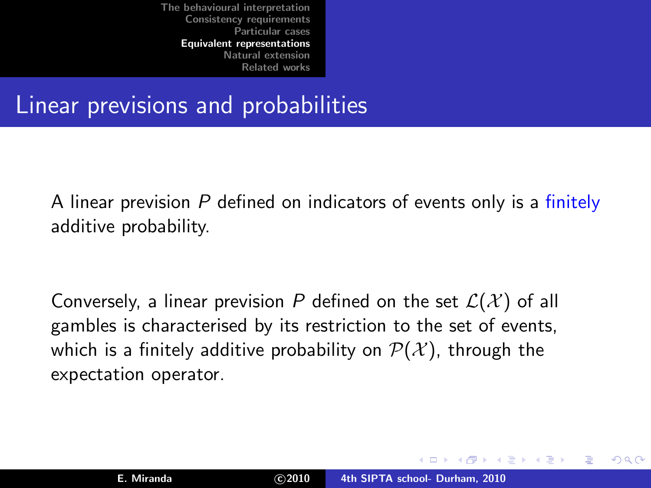## Linear previsions and probabilities

A linear prevision P defined on indicators of events only is a finitely additive probability.

Conversely, a linear prevision P defined on the set  $\mathcal{L}(\mathcal{X})$  of all gambles is characterised by its restriction to the set of events, which is a finitely additive probability on  $\mathcal{P}(\mathcal{X})$ , through the expectation operator.

イロト イ団ト イラト イラト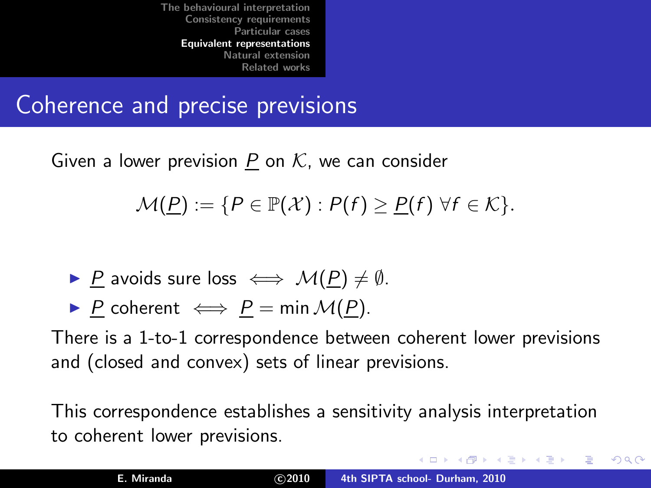Coherence and precise previsions

Given a lower prevision P on  $K$ , we can consider

#### $\mathcal{M}(P) := \{ P \in \mathbb{P}(\mathcal{X}) : P(f) > P(f) \ \forall f \in \mathcal{K} \}.$

- ▶ P avoids sure loss  $\iff \mathcal{M}(P) \neq \emptyset$ .
- ▶ P coherent  $\iff$  P = min  $\mathcal{M}(P)$ .

There is a 1-to-1 correspondence between coherent lower previsions and (closed and convex) sets of linear previsions.

This correspondence establishes a sensitivity analysis interpretation to coherent lower previsions.

メロメ メ御き メミメ メミメー

<span id="page-47-0"></span> $2Q$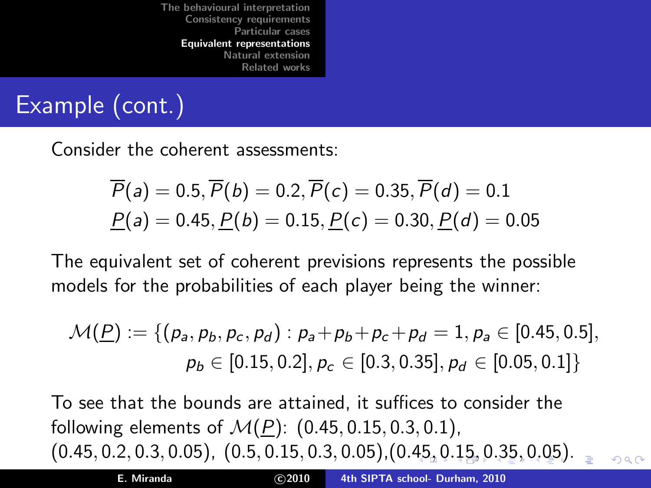# Example (cont.)

Consider the coherent assessments:

$$
\overline{P}(a) = 0.5, \overline{P}(b) = 0.2, \overline{P}(c) = 0.35, \overline{P}(d) = 0.1
$$
  

$$
\underline{P}(a) = 0.45, \underline{P}(b) = 0.15, \underline{P}(c) = 0.30, \underline{P}(d) = 0.05
$$

The equivalent set of coherent previsions represents the possible models for the probabilities of each player being the winner:

<span id="page-48-0"></span>
$$
\mathcal{M}(\underline{P}) := \{ (p_a, p_b, p_c, p_d) : p_a + p_b + p_c + p_d = 1, p_a \in [0.45, 0.5],
$$
  

$$
p_b \in [0.15, 0.2], p_c \in [0.3, 0.35], p_d \in [0.05, 0.1] \}
$$

To see that the bounds are attained, it suffices to consider the following elements of  $M(P)$ : (0.45, 0.15, 0.3, 0.1),  $(0.45, 0.2, 0.3, 0.05), (0.5, 0.15, 0.3, 0.05), (0.45, 0.15, 0.35, 0.05).$  $(0.45, 0.2, 0.3, 0.05), (0.5, 0.15, 0.3, 0.05), (0.45, 0.15, 0.35, 0.05).$  $(0.45, 0.2, 0.3, 0.05), (0.5, 0.15, 0.3, 0.05), (0.45, 0.15, 0.35, 0.05).$  $(0.45, 0.2, 0.3, 0.05), (0.5, 0.15, 0.3, 0.05), (0.45, 0.15, 0.35, 0.05).$  $(0.45, 0.2, 0.3, 0.05), (0.5, 0.15, 0.3, 0.05), (0.45, 0.15, 0.35, 0.05).$  $(0.45, 0.2, 0.3, 0.05), (0.5, 0.15, 0.3, 0.05), (0.45, 0.15, 0.35, 0.05).$  $(0.45, 0.2, 0.3, 0.05), (0.5, 0.15, 0.3, 0.05), (0.45, 0.15, 0.35, 0.05).$  $(0.45, 0.2, 0.3, 0.05), (0.5, 0.15, 0.3, 0.05), (0.45, 0.15, 0.35, 0.05).$  $(0.45, 0.2, 0.3, 0.05), (0.5, 0.15, 0.3, 0.05), (0.45, 0.15, 0.35, 0.05).$  $(0.45, 0.2, 0.3, 0.05), (0.5, 0.15, 0.3, 0.05), (0.45, 0.15, 0.35, 0.05).$  $(0.45, 0.2, 0.3, 0.05), (0.5, 0.15, 0.3, 0.05), (0.45, 0.15, 0.35, 0.05).$  $(0.45, 0.2, 0.3, 0.05), (0.5, 0.15, 0.3, 0.05), (0.45, 0.15, 0.35, 0.05).$  $(0.45, 0.2, 0.3, 0.05), (0.5, 0.15, 0.3, 0.05), (0.45, 0.15, 0.35, 0.05).$  $(0.45, 0.2, 0.3, 0.05), (0.5, 0.15, 0.3, 0.05), (0.45, 0.15, 0.35, 0.05).$  $(0.45, 0.2, 0.3, 0.05), (0.5, 0.15, 0.3, 0.05), (0.45, 0.15, 0.35, 0.05).$  $\Omega$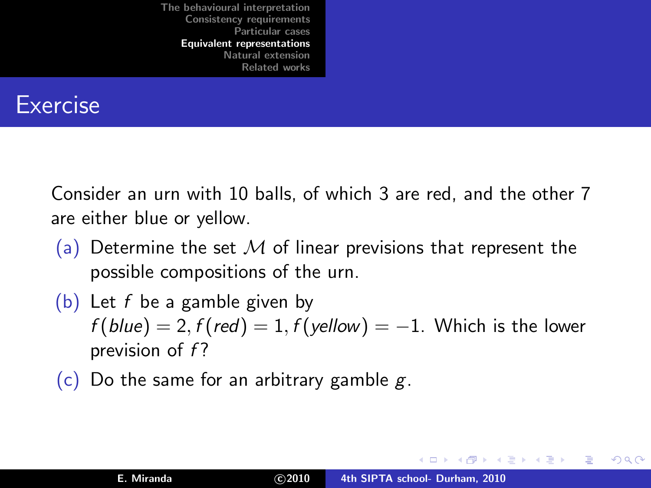#### Exercise

Consider an urn with 10 balls, of which 3 are red, and the other 7 are either blue or yellow.

- (a) Determine the set M of linear previsions that represent the possible compositions of the urn.
- (b) Let f be a gamble given by  $f(blue) = 2, f(\text{red}) = 1, f(\text{yellow}) = -1.$  Which is the lower prevision of  $f$ ?
- (c) Do the same for an arbitrary gamble g.

<span id="page-49-0"></span>K ロ ⊁ K 倒 ≯ K ミ ⊁ K ミ ⊁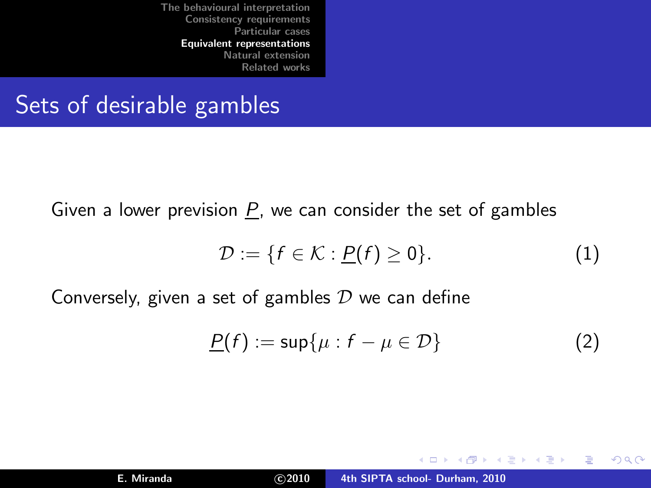#### Sets of desirable gambles

Given a lower prevision  $P$ , we can consider the set of gambles

<span id="page-50-1"></span>
$$
\mathcal{D} := \{f \in \mathcal{K} : \underline{P}(f) \ge 0\}.
$$
 (1)

Conversely, given a set of gambles  $D$  we can define

<span id="page-50-0"></span>
$$
\underline{P}(f) := \sup\{\mu : f - \mu \in \mathcal{D}\}\tag{2}
$$

K ロ ⊁ K 倒 ≯ K ミ ⊁ K ミ ⊁

 $2Q$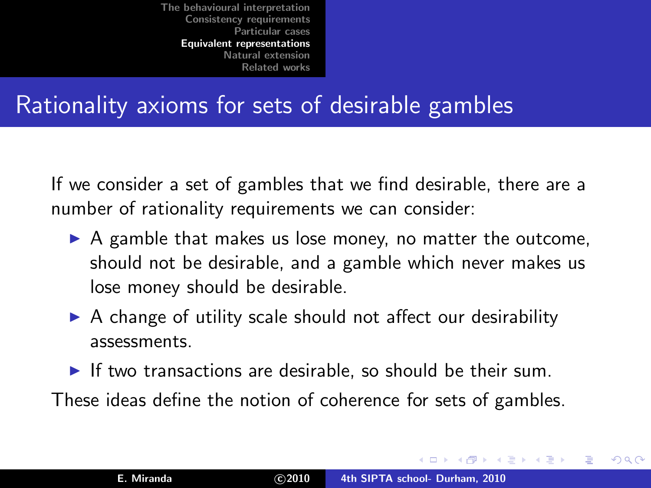## Rationality axioms for sets of desirable gambles

If we consider a set of gambles that we find desirable, there are a number of rationality requirements we can consider:

- $\triangleright$  A gamble that makes us lose money, no matter the outcome, should not be desirable, and a gamble which never makes us lose money should be desirable.
- $\triangleright$  A change of utility scale should not affect our desirability assessments.
- $\blacktriangleright$  If two transactions are desirable, so should be their sum. These ideas define the notion of coherence for sets of gambles.

イロメ マ桐 メラミンマティ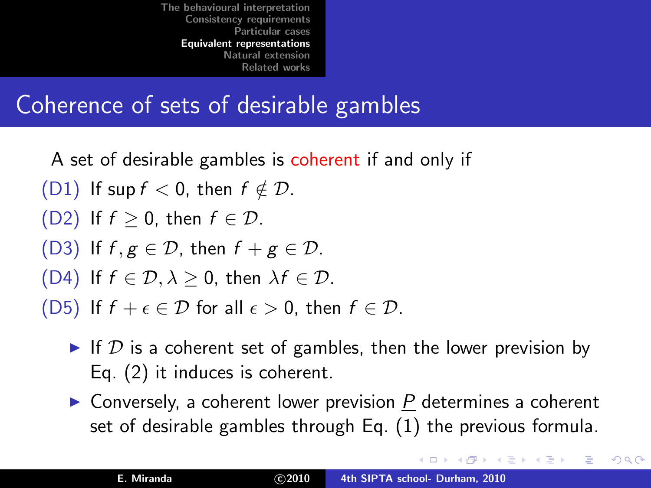## Coherence of sets of desirable gambles

A set of desirable gambles is coherent if and only if

- (D1) If sup  $f < 0$ , then  $f \notin \mathcal{D}$ .
- (D2) If  $f > 0$ , then  $f \in \mathcal{D}$ .
- (D3) If  $f, g \in \mathcal{D}$ , then  $f + g \in \mathcal{D}$ .
- (D4) If  $f \in \mathcal{D}, \lambda \geq 0$ , then  $\lambda f \in \mathcal{D}$ .

(D5) If  $f + \epsilon \in \mathcal{D}$  for all  $\epsilon > 0$ , then  $f \in \mathcal{D}$ .

- If D is a coherent set of gambles, then the lower prevision by Eq. [\(2\)](#page-50-0) it induces is coherent.
- $\triangleright$  Conversely, a coherent lower prevision P determines a coherent set of desirable gambles through Eq. [\(1\)](#page-50-1) the previous formula.

イロメ イタメ イラメ イラメ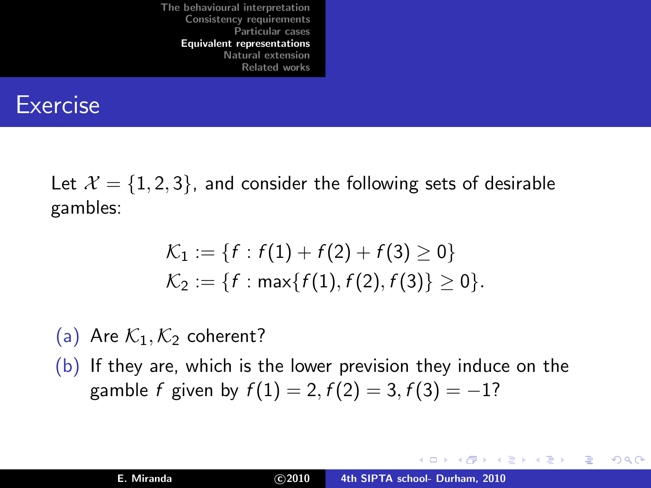#### Exercise

Let  $\mathcal{X} = \{1, 2, 3\}$ , and consider the following sets of desirable gambles:

$$
\mathcal{K}_1 := \{f : f(1) + f(2) + f(3) \ge 0\}
$$
  

$$
\mathcal{K}_2 := \{f : \max\{f(1), f(2), f(3)\} \ge 0\}.
$$

- (a) Are  $\mathcal{K}_1, \mathcal{K}_2$  coherent?
- (b) If they are, which is the lower prevision they induce on the gamble f given by  $f(1) = 2, f(2) = 3, f(3) = -1$ ?

メロメ メ御き メミメ メミメー

 $2Q$ 

∍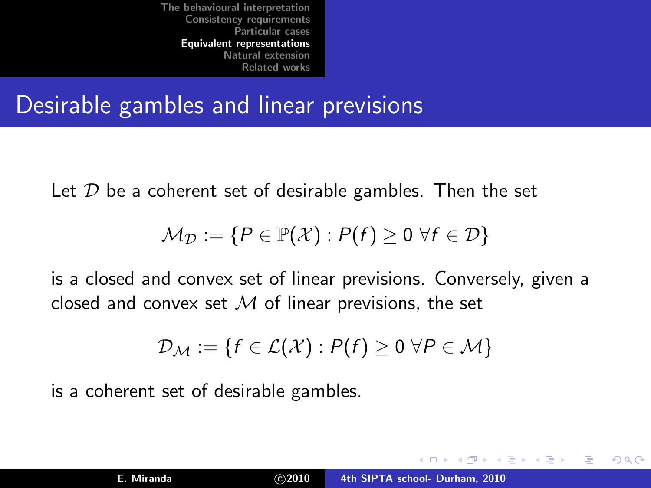### Desirable gambles and linear previsions

Let  $D$  be a coherent set of desirable gambles. Then the set

$$
\mathcal{M}_{\mathcal{D}} := \{ P \in \mathbb{P}(\mathcal{X}) : P(f) \ge 0 \ \forall f \in \mathcal{D} \}
$$

is a closed and convex set of linear previsions. Conversely, given a closed and convex set  $M$  of linear previsions, the set

$$
\mathcal{D}_{\mathcal{M}} := \{ f \in \mathcal{L}(\mathcal{X}) : P(f) \geq 0 \; \forall P \in \mathcal{M} \}
$$

is a coherent set of desirable gambles.

 $\overline{AB}$   $\overline{B}$   $\overline{C}$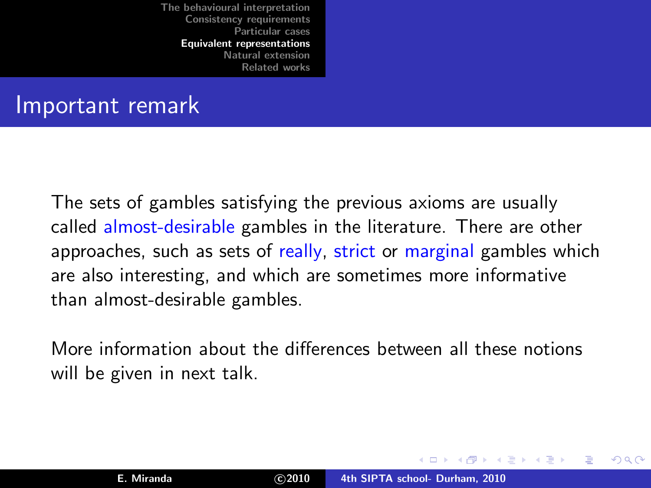#### Important remark

The sets of gambles satisfying the previous axioms are usually called almost-desirable gambles in the literature. There are other approaches, such as sets of really, strict or marginal gambles which are also interesting, and which are sometimes more informative than almost-desirable gambles.

More information about the differences between all these notions will be given in next talk.

 $\left\{ \begin{array}{ccc} 1 & 0 & 0 \\ 0 & 1 & 0 \end{array} \right\}$  ,  $\left\{ \begin{array}{ccc} -1 & 0 & 0 \\ 0 & 0 & 0 \end{array} \right\}$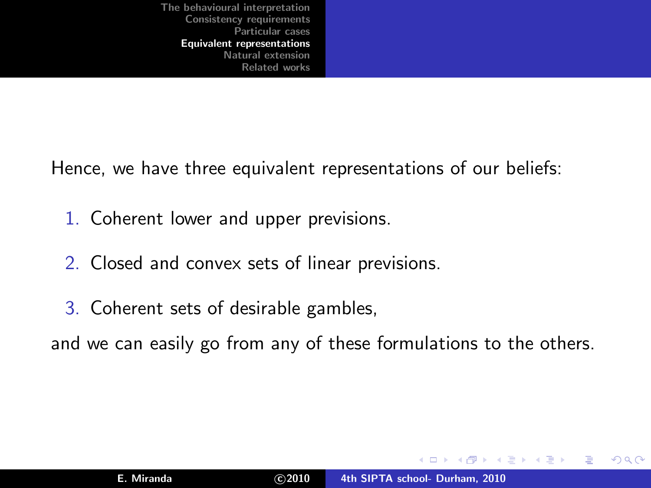Hence, we have three equivalent representations of our beliefs:

- 1. Coherent lower and upper previsions.
- 2. Closed and convex sets of linear previsions.
- 3. Coherent sets of desirable gambles,

and we can easily go from any of these formulations to the others.

 $4.11 \times 4.60 \times 4.71 \times$ 

ia ⊞is

 $290$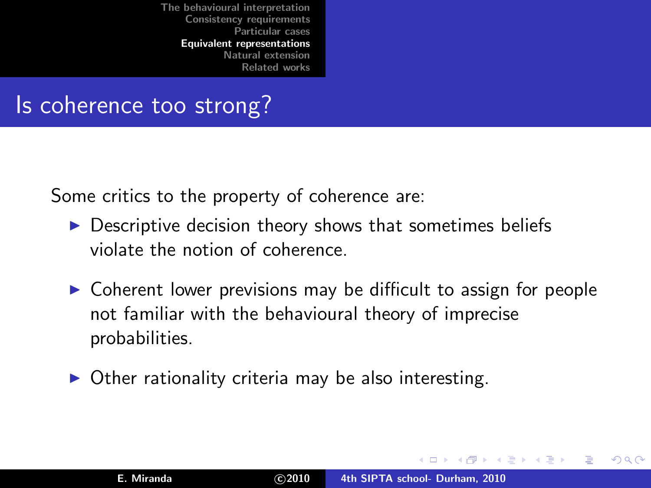### Is coherence too strong?

Some critics to the property of coherence are:

- $\triangleright$  Descriptive decision theory shows that sometimes beliefs violate the notion of coherence.
- ▶ Coherent lower previsions may be difficult to assign for people not familiar with the behavioural theory of imprecise probabilities.
- Other rationality criteria may be also interesting.

<span id="page-57-0"></span> $\left\{ \begin{array}{ccc} 1 & 1 & 1 & 1 & 1 \\ 1 & 1 & 1 & 1 & 1 \end{array} \right.$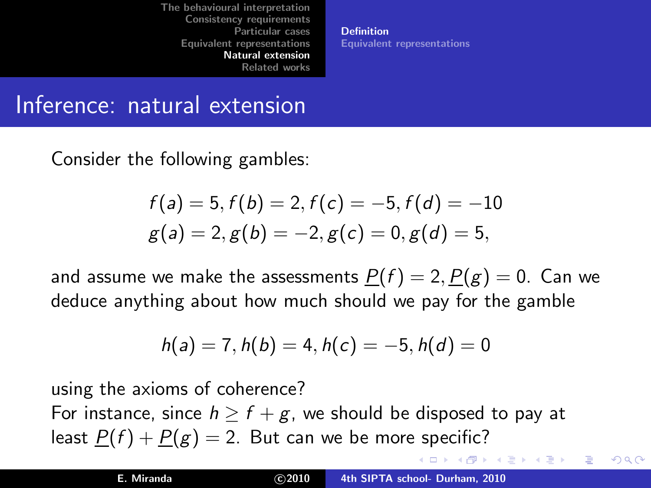[Definition](#page-58-0) [Equivalent representations](#page-62-0)

#### Inference: natural extension

Consider the following gambles:

$$
f(a) = 5, f(b) = 2, f(c) = -5, f(d) = -10
$$
  
g(a) = 2, g(b) = -2, g(c) = 0, g(d) = 5,

and assume we make the assessments  $P(f) = 2, P(g) = 0$ . Can we deduce anything about how much should we pay for the gamble

$$
h(a) = 7, h(b) = 4, h(c) = -5, h(d) = 0
$$

using the axioms of coherence? For instance, since  $h \ge f + g$ , we should be disposed to pay at least  $P(f) + P(g) = 2$ . But can we be more specific?

<span id="page-58-0"></span>→ 伊 ▶ → ヨ ▶ → ヨ ▶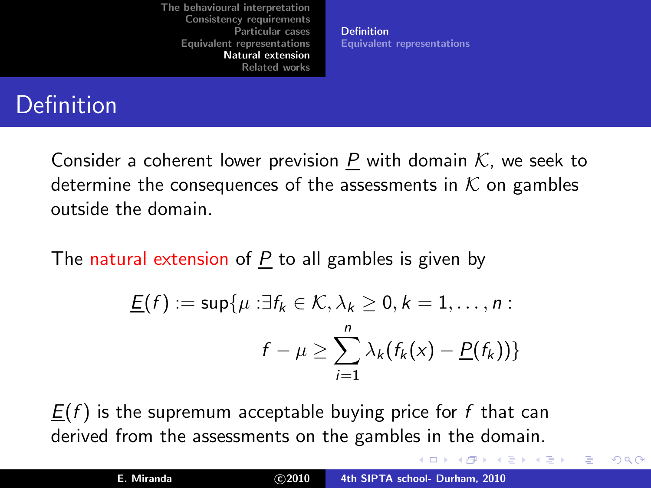[Definition](#page-58-0) [Equivalent representations](#page-62-0)

## Definition

Consider a coherent lower prevision P with domain  $K$ , we seek to determine the consequences of the assessments in  $K$  on gambles outside the domain.

The natural extension of  $P$  to all gambles is given by

$$
\underline{F}(f) := \sup\{\mu : \exists f_k \in \mathcal{K}, \lambda_k \ge 0, k = 1, \dots, n:
$$
  

$$
f - \mu \ge \sum_{i=1}^n \lambda_k (f_k(x) - \underline{P}(f_k))\}
$$

 $E(f)$  is the supremum acceptable buying price for f that can derived from the assessments on the gambles in the domain.

メロメ メ御 メメ きょ メモメ

 $\Omega$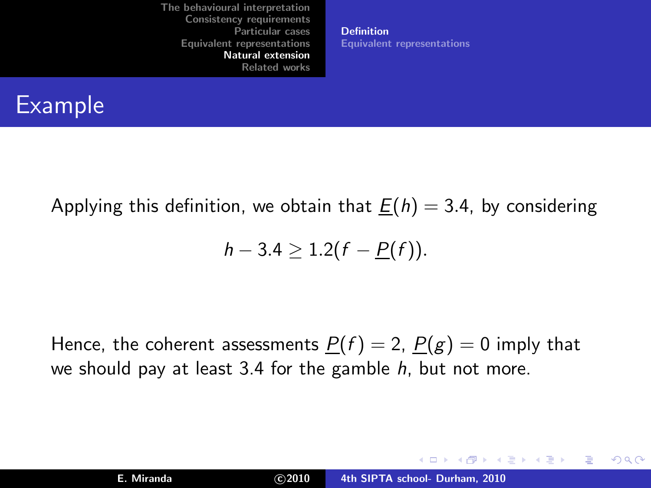[Definition](#page-58-0) [Equivalent representations](#page-62-0)

## Example

Applying this definition, we obtain that  $E(h) = 3.4$ , by considering

$$
h-3.4\geq 1.2(f-\underline{P}(f)).
$$

Hence, the coherent assessments  $P(f) = 2$ ,  $P(g) = 0$  imply that we should pay at least 3.4 for the gamble  $h$ , but not more.

K ロ ⊁ K 倒 ≯ K ミ ⊁ K ミ ⊁

 $290$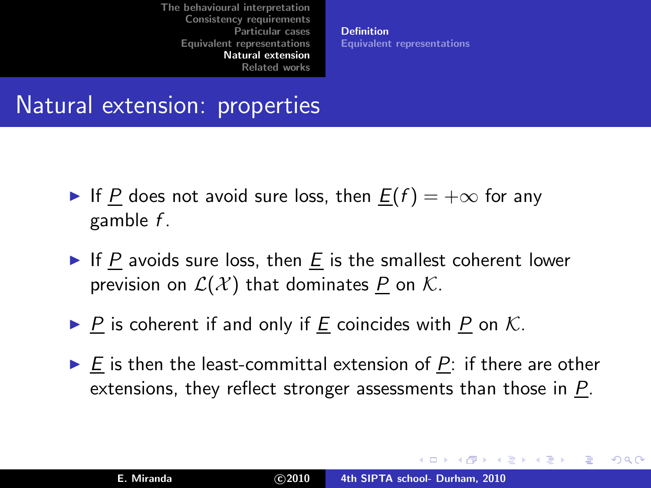[Definition](#page-58-0) [Equivalent representations](#page-62-0)

### Natural extension: properties

- If P does not avoid sure loss, then  $\underline{E}(f) = +\infty$  for any gamble f .
- If P avoids sure loss, then E is the smallest coherent lower prevision on  $\mathcal{L}(\mathcal{X})$  that dominates P on K.
- $\triangleright$  P is coherent if and only if E coincides with P on K.
- $\triangleright$  E is then the least-committal extension of P: if there are other extensions, they reflect stronger assessments than those in P.

イロト イ部 トイモ トイモト

 $290$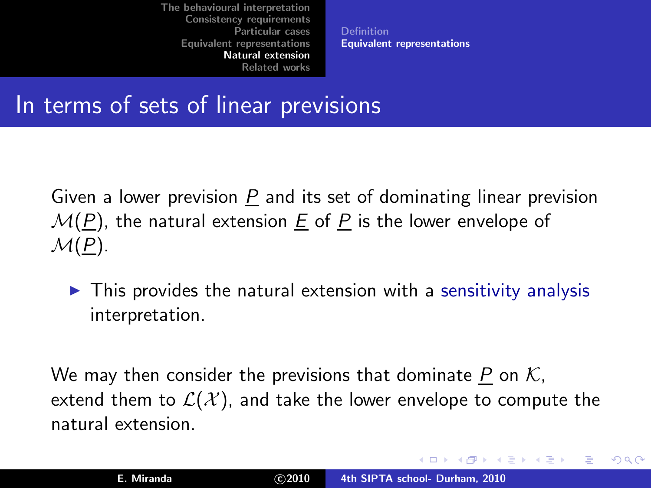[Definition](#page-58-0) [Equivalent representations](#page-62-0)

### In terms of sets of linear previsions

Given a lower prevision  $P$  and its set of dominating linear prevision  $\mathcal{M}(P)$ , the natural extension E of P is the lower envelope of  $\mathcal{M}(P)$ .

 $\triangleright$  This provides the natural extension with a sensitivity analysis interpretation.

We may then consider the previsions that dominate P on  $K$ , extend them to  $\mathcal{L}(\mathcal{X})$ , and take the lower envelope to compute the natural extension.

<span id="page-62-0"></span>メロメ メ御 メメ ミメ メミメ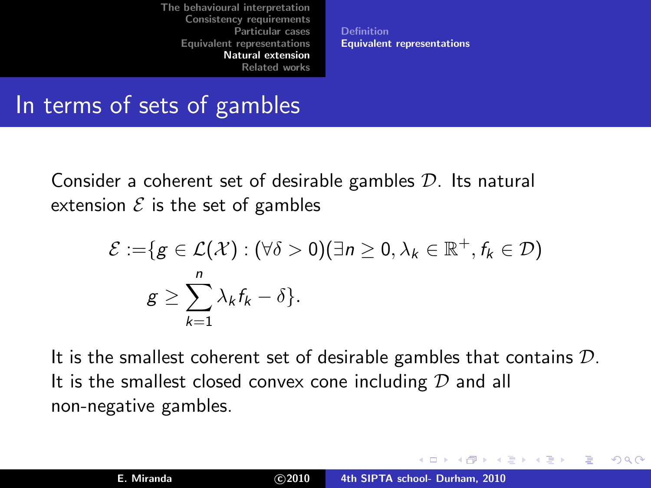[Definition](#page-58-0) [Equivalent representations](#page-62-0)

K ロ ⊁ K 倒 ≯ K ミ ⊁ K ミ ⊁

 $\Omega$ 

#### In terms of sets of gambles

Consider a coherent set of desirable gambles  $D$ . Its natural extension  $\mathcal E$  is the set of gambles

$$
\mathcal{E} := \{ g \in \mathcal{L}(\mathcal{X}) : (\forall \delta > 0)(\exists n \geq 0, \lambda_k \in \mathbb{R}^+, f_k \in \mathcal{D}) \mid g \geq \sum_{k=1}^n \lambda_k f_k - \delta \}.
$$

It is the smallest coherent set of desirable gambles that contains  $D$ . It is the smallest closed convex cone including  $D$  and all non-negative gambles.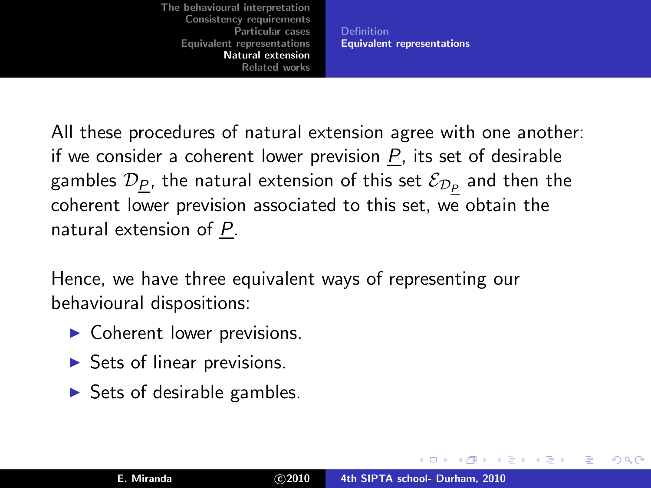[Definition](#page-58-0) [Equivalent representations](#page-62-0)

All these procedures of natural extension agree with one another: if we consider a coherent lower prevision  $P$ , its set of desirable gambles  $\mathcal{D}_{\underline{P}}$ , the natural extension of this set  $\mathcal{E}_{\mathcal{D}_{\underline{P}}}$  and then the coherent lower prevision associated to this set, we obtain the natural extension of P.

Hence, we have three equivalent ways of representing our behavioural dispositions:

- $\triangleright$  Coherent lower previsions.
- $\triangleright$  Sets of linear previsions.
- $\triangleright$  Sets of desirable gambles.

メロメ メ御 メメ ミメ メミメ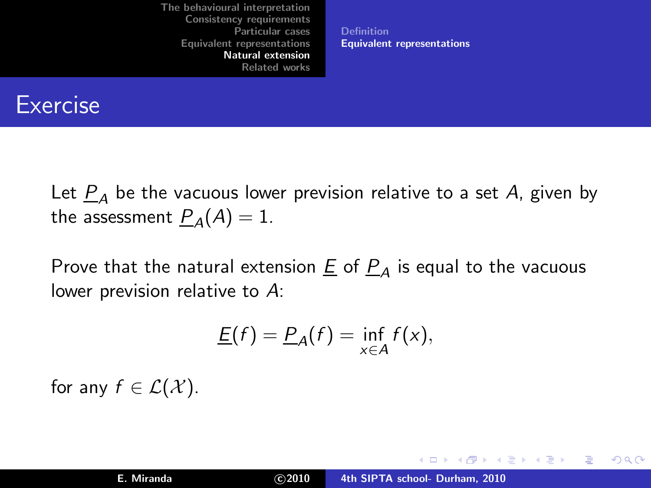[Definition](#page-58-0) [Equivalent representations](#page-62-0)

#### Exercise

Let  $P_A$  be the vacuous lower prevision relative to a set A, given by the assessment  $P_A(A) = 1$ .

Prove that the natural extension  $E$  of  $P_A$  is equal to the vacuous lower prevision relative to A:

$$
\underline{E}(f) = \underline{P}_A(f) = \inf_{x \in A} f(x),
$$

for any  $f \in \mathcal{L}(\mathcal{X})$ .

イロト イ母ト イヨト イヨト

 $290$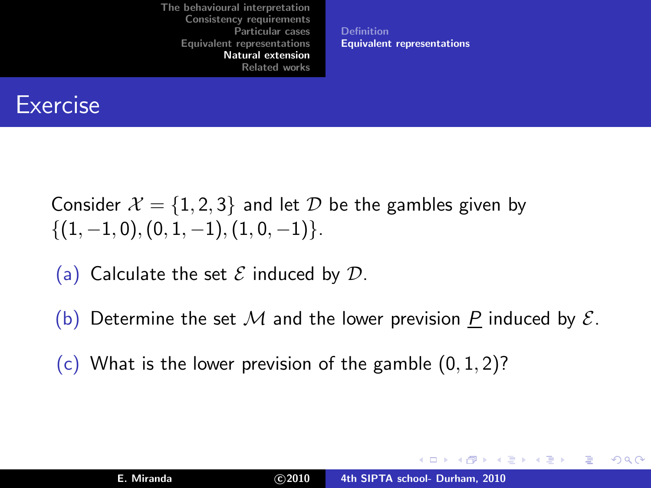[Definition](#page-58-0) [Equivalent representations](#page-62-0)

#### Exercise

Consider  $\mathcal{X} = \{1, 2, 3\}$  and let D be the gambles given by  $\{(1, -1, 0), (0, 1, -1), (1, 0, -1)\}.$ 

- (a) Calculate the set  $\mathcal E$  induced by  $\mathcal D$ .
- (b) Determine the set M and the lower prevision P induced by  $\mathcal{E}$ .
- $(c)$  What is the lower prevision of the gamble  $(0, 1, 2)$ ?

K ロ ⊁ K 倒 ≯ K ミ ⊁ K ミ ⊁

 $290$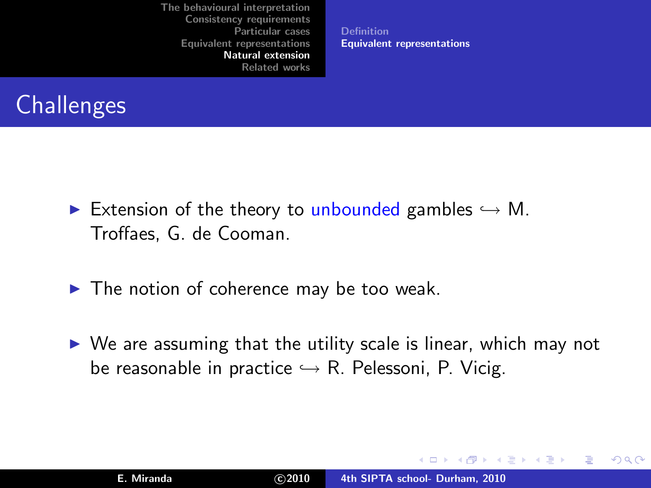[Definition](#page-58-0) [Equivalent representations](#page-62-0)



- Extension of the theory to unbounded gambles  $\hookrightarrow$  M. Troffaes, G. de Cooman.
- $\blacktriangleright$  The notion of coherence may be too weak.
- $\triangleright$  We are assuming that the utility scale is linear, which may not be reasonable in practice  $\hookrightarrow$  R. Pelessoni, P. Vicig.

K ロ ⊁ K 倒 ≯ K ミ ⊁ K ミ ⊁

 $\Omega$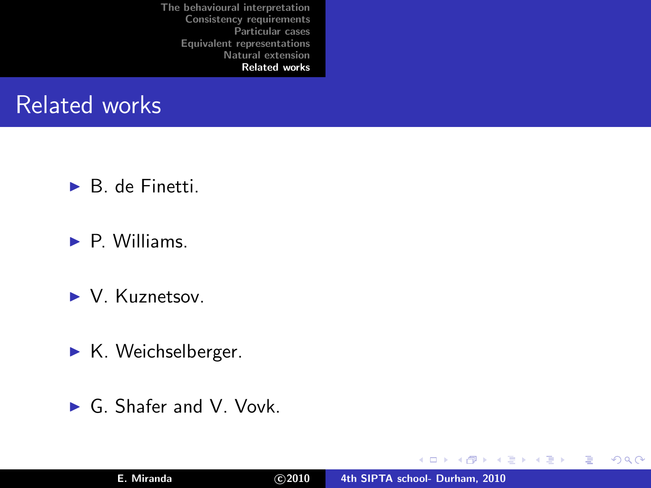#### Related works

- $\blacktriangleright$  B. de Finetti.
- ▶ P. Williams
- ▶ V. Kuznetsov.
- K. Weichselberger.
- ► G. Shafer and V. Vovk.

K ロ ⊁ K 倒 ≯ K ミ ⊁ K ミ ⊁

重

<span id="page-68-0"></span> $2Q$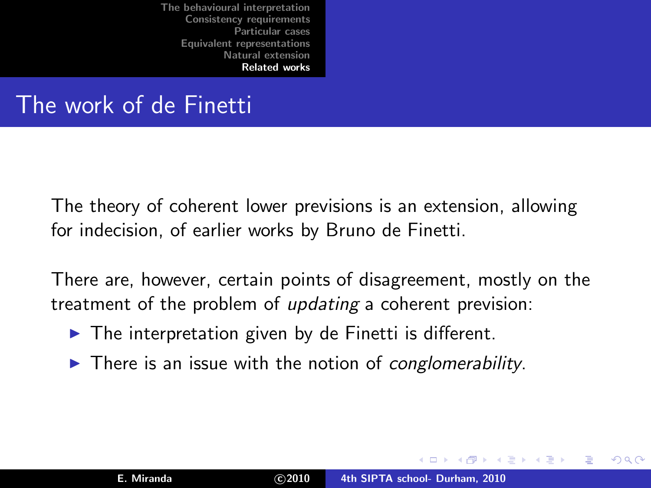## The work of de Finetti

The theory of coherent lower previsions is an extension, allowing for indecision, of earlier works by Bruno de Finetti.

There are, however, certain points of disagreement, mostly on the treatment of the problem of updating a coherent prevision:

- $\blacktriangleright$  The interpretation given by de Finetti is different.
- $\blacktriangleright$  There is an issue with the notion of conglomerability.

(ロ) (伊)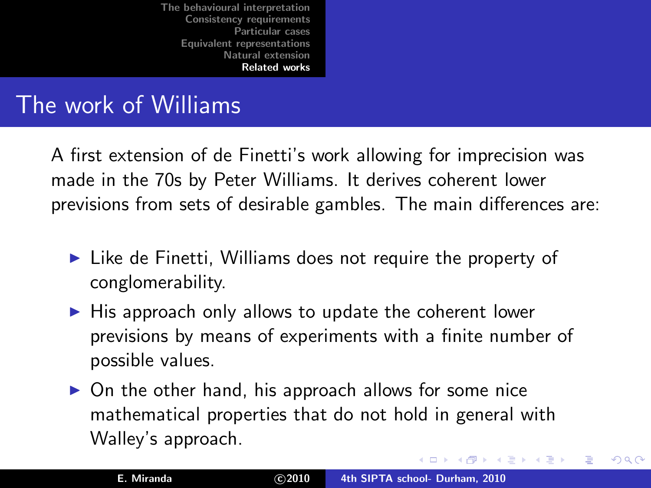## The work of Williams

A first extension of de Finetti's work allowing for imprecision was made in the 70s by Peter Williams. It derives coherent lower previsions from sets of desirable gambles. The main differences are:

- ▶ Like de Finetti, Williams does not require the property of conglomerability.
- $\blacktriangleright$  His approach only allows to update the coherent lower previsions by means of experiments with a finite number of possible values.
- $\triangleright$  On the other hand, his approach allows for some nice mathematical properties that do not hold in general with Walley's approach.

K ロ ⊁ K 倒 ≯ K ミ ⊁ K ミ ⊁

つくい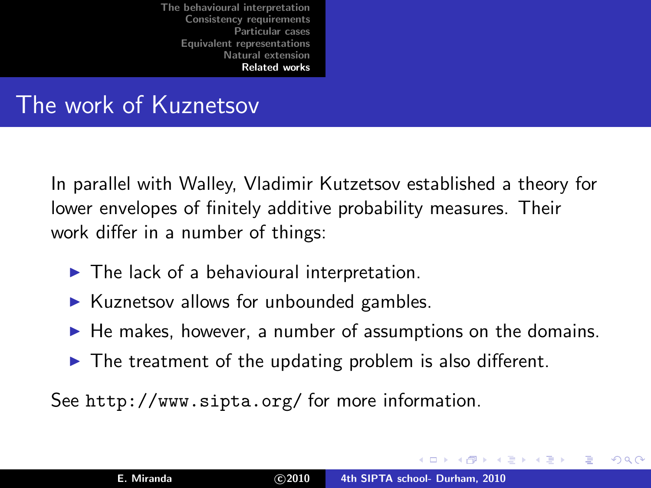## The work of Kuznetsov

In parallel with Walley, Vladimir Kutzetsov established a theory for lower envelopes of finitely additive probability measures. Their work differ in a number of things:

- $\blacktriangleright$  The lack of a behavioural interpretation.
- $\triangleright$  Kuznetsov allows for unbounded gambles.
- $\blacktriangleright$  He makes, however, a number of assumptions on the domains.
- $\triangleright$  The treatment of the updating problem is also different.

See http://www.sipta.org/ for more information.

K ロ ⊁ K 倒 ≯ K ミ ⊁ K ミ ⊁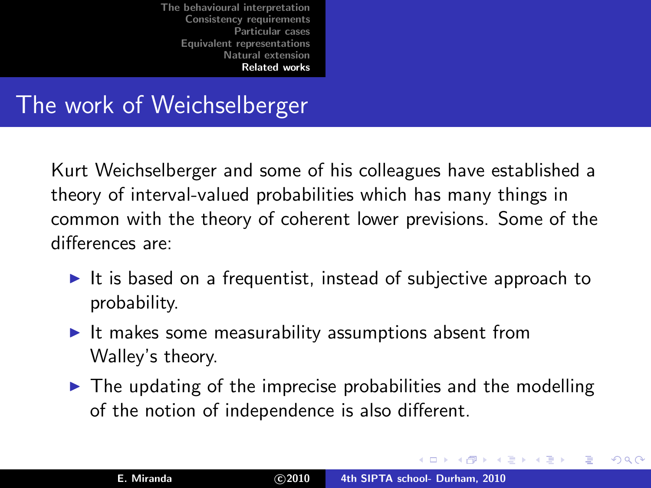## The work of Weichselberger

Kurt Weichselberger and some of his colleagues have established a theory of interval-valued probabilities which has many things in common with the theory of coherent lower previsions. Some of the differences are:

- $\triangleright$  It is based on a frequentist, instead of subjective approach to probability.
- $\blacktriangleright$  It makes some measurability assumptions absent from Walley's theory.
- $\triangleright$  The updating of the imprecise probabilities and the modelling of the notion of independence is also different.

メロメ メ御 メメ ミメ メミメ

へのへ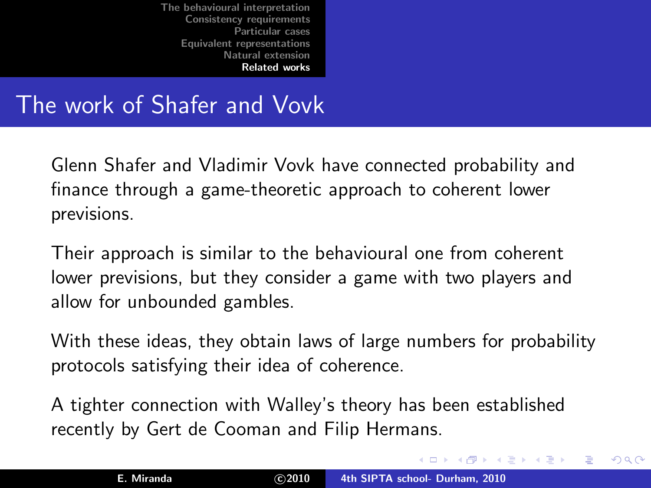## The work of Shafer and Vovk

Glenn Shafer and Vladimir Vovk have connected probability and finance through a game-theoretic approach to coherent lower previsions.

Their approach is similar to the behavioural one from coherent lower previsions, but they consider a game with two players and allow for unbounded gambles.

With these ideas, they obtain laws of large numbers for probability protocols satisfying their idea of coherence.

A tighter connection with Walley's theory has been established recently by Gert de Cooman and Filip Hermans.

イロメ イタメ イラメ イラメ

<span id="page-73-0"></span> $\Omega$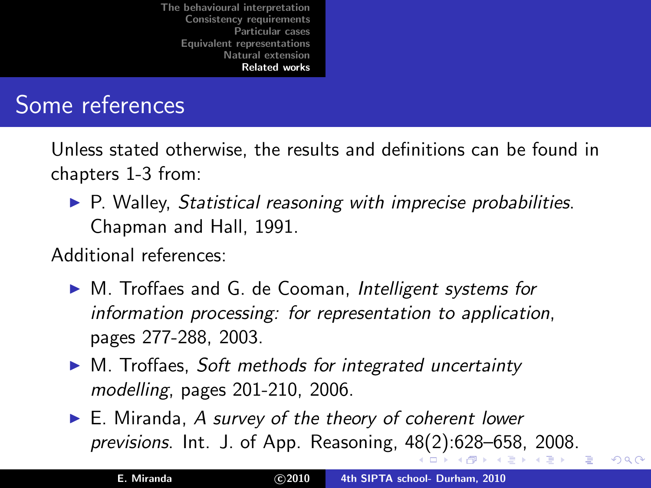## Some references

Unless stated otherwise, the results and definitions can be found in chapters 1-3 from:

 $\triangleright$  P. Walley, Statistical reasoning with imprecise probabilities. Chapman and Hall, 1991.

Additional references:

- ▶ M. Troffaes and G. de Cooman, Intelligent systems for information processing: for representation to application, pages 277-288, 2003.
- ► M. Troffaes, Soft methods for integrated uncertainty modelling, pages 201-210, 2006.
- $\blacktriangleright$  E. Miranda, A survey of the theory of coherent lower previsions. Int. J. of App. Reasoning, [48\(](#page-73-0)[2\):](#page-75-0)[6](#page-73-0)[28](#page-74-0)[–](#page-75-0)[6](#page-67-0)[5](#page-68-0)[8,](#page-75-0) [2](#page-67-0)[0](#page-68-0)[08](#page-75-0)[.](#page-0-0)

<span id="page-74-0"></span>へのへ